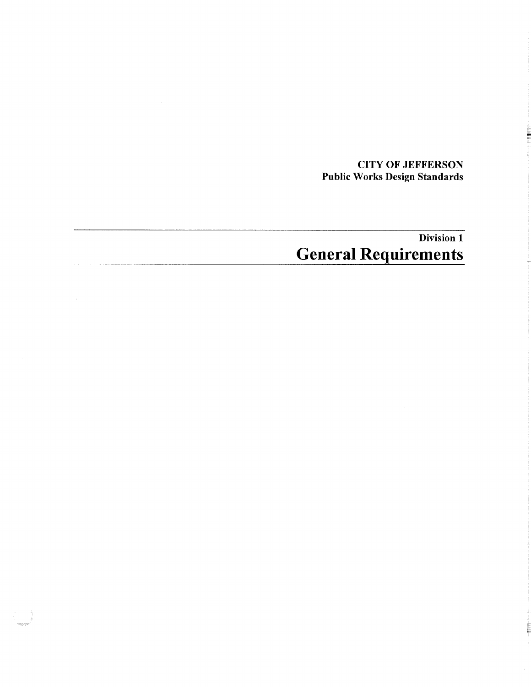CITY OF JEFFERSON Public Works Design Standards

 $\sim 10^6$ 

Division 1 **General Requirements**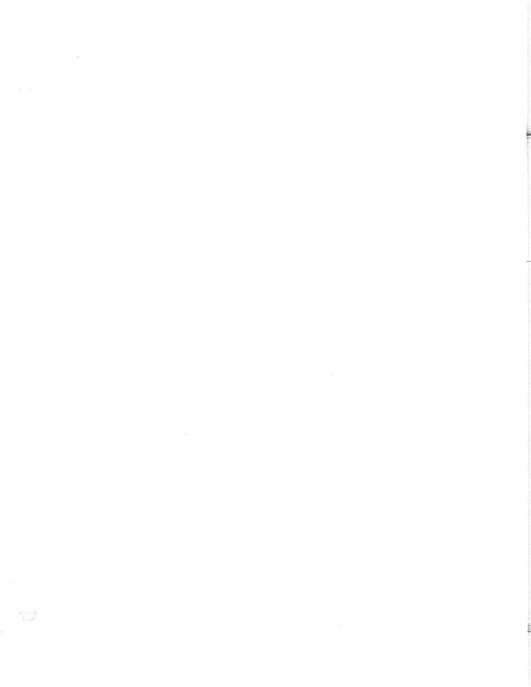in sij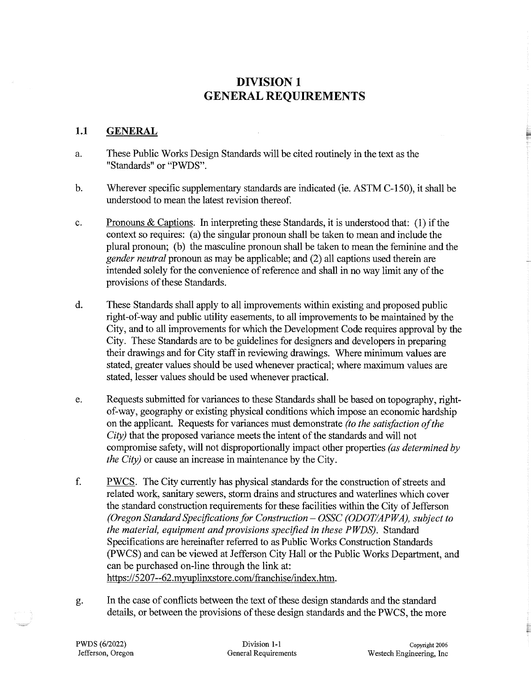# **DIVISION 1 GENERAL REQUIREMENTS**

#### **1.1 GENERAL**

- a. These Public Works Design Standards will be cited routinely in the text as the "Standards" or "PWDS".
- b. Wherever specific supplementary standards are indicated (ie. ASTM C-150), it shall be understood to mean the latest revision thereof.
- c. Pronouns  $& \text{Captions.}$  In interpreting these Standards, it is understood that: (1) if the context so requires: (a) the singular pronoun shall be taken to mean and include the plural pronoun; (b) the masculine pronoun shall be taken to mean the feminine and the *gender neutral* pronoun as may be applicable; and (2) all captions used therein are intended solely for the convenience ofreference and shall in no way limit any of the provisions of these Standards.
- d. These Standards shall apply to all improvements within existing and proposed public right-of-way and public utility easements, to all improvements to be maintained by the City, and to all improvements for which the Development Code requires approval by the City. These Standards are to be guidelines for designers and developers in preparing their drawings and for City staff in reviewing drawings. Where minimum values are stated, greater values should be used whenever practical; where maximum values are stated, lesser values should be used whenever practical.
- e. Requests submitted for variances to these Standards shall be based on topography, rightof-way, geography or existing physical conditions which impose an economic hardship on the applicant. Requests for variances must demonstrate *(to the satisfaction of the City)* that the proposed variance meets the intent of the standards and will not compromise safety, will not disproportionally impact other properties *(as determined by the City)* or cause an increase in maintenance by the City.
- f. PWCS. The City currently has physical standards for the construction of streets and related work, sanitary sewers, storm drains and structures and waterlines which cover the standard construction requirements for these facilities within the City of Jefferson *(Oregon Standard Specifications for Construction* - OSSC *(ODOTIAPWA), subject to the material, equipment and provisions specified in these PWDS).* Standard Specifications are hereinafter referred to as Public Works Construction Standards (PWCS) and can be viewed at Jefferson City Hall or the Public Works Department, and can be purchased on-line through the link at: https://5207--62.myuplinxstore.com/franchise/index.htm.
- g. In the case of conflicts between the text of these design standards and the standard details, or between the provisions of these design standards and the PWCS, the more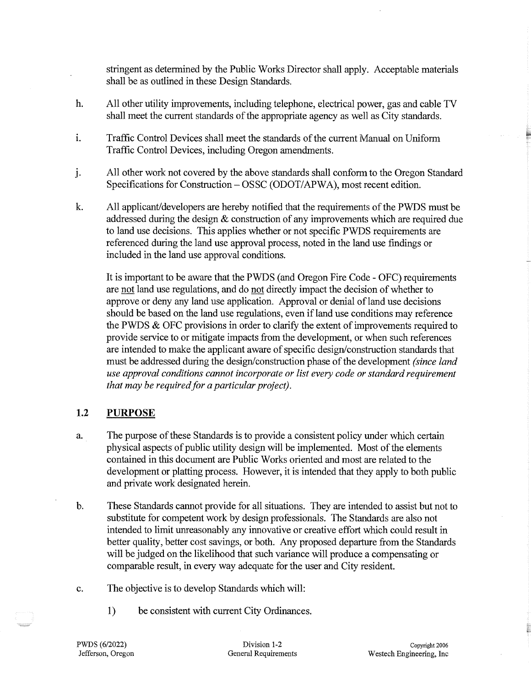stringent as determined by the Public Works Director shall apply. Acceptable materials shall be as outlined in these Design Standards.

- h. All other utility improvements, including telephone, electrical power, gas and cable TV shall meet the current standards of the appropriate agency as well as City standards.
- 1. Traffic Control Devices shall meet the standards of the current Manual on Uniform Traffic Control Devices, including Oregon amendments.
- j. All other work not covered by the above standards shall conform to the Oregon Standard Specifications for Construction - OSSC (ODOT/APWA), most recent edition.
- k. All applicant/developers are hereby notified that the requirements of the PWDS must be addressed during the design & construction of any improvements which are required due to land use decisions. This applies whether or not specific PWDS requirements are referenced during the land use approval process, noted in the land use fmdings or included in the land use approval conditions.

It is important to be aware that the PWDS (and Oregon Fire Code - OFC) requirements are not land use regulations, and do not directly impact the decision of whether to approve or deny any land use application. Approval or denial of land use decisions should be based on the land use regulations, even if land use conditions may reference the PWDS & OFC provisions in order to clarify the extent of improvements required to provide service to or mitigate impacts from the development, or when such references are intended to make the applicant aware of specific design/construction standards that must be addressed during the design/construction phase of the development *(since land*  use approval conditions cannot incorporate or list every code or standard requirement *that may be required for a particular project).* 

#### **1.2 PURPOSE**

- a. The purpose of these Standards is to provide a consistent policy under which certain physical aspects of public utility design will be implemented. Most of the elements contained in this document are Public Works oriented and most are related to the development or platting process. However, it is intended that they apply to both public and private work designated herein.
- b. These Standards cannot provide for all situations. They are intended to assist but not to substitute for competent work by design professionals. The Standards are also not intended to limit unreasonably any innovative or creative effort which could result in better quality, better cost savings, or both. Any proposed departure from the Standards will be judged on the likelihood that such variance will produce a compensating or comparable result, in every way adequate for the user and City resident.
- c. The objective is to develop Standards which will:
	- 1) be consistent with current City Ordinances.

듵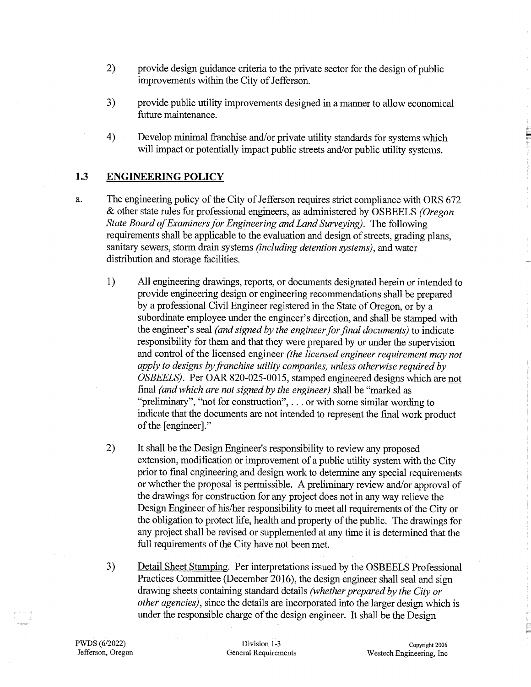- 2) provide design guidance criteria to the private sector for the design of public improvements within the City of Jefferson.
- 3) provide public utility improvements designed in a manner to allow economical future maintenance.
- 4) Develop minimal franchise and/or private utility standards for systems which will impact or potentially impact public streets and/or public utility systems.

# **1.3 ENGINEERING POLICY**

- a. The engineering policy of the City of Jefferson requires strict compliance with ORS 672 & other state rules for professional engineers, as administered by OSBEELS *(Oregon State Board of Examiners for Engineering and Land Surveying).* The following requirements shall be applicable to the evaluation and design of streets, grading plans, sanitary sewers, storm drain systems *(including detention systems),* and water distribution and storage facilities.
	- 1) All engineering drawings, reports, or documents designated herein or intended to provide engineering design or engineering recommendations shall be prepared by a professional Civil Engineer registered in the State of Oregon, or by a subordinate employee under the engineer's direction, and shall be stamped with the engineer's seal *(and signed by the engineer for final documents)* to indicate responsibility for them and that they were prepared by or under the supervision and control of the licensed engineer *(the licensed engineer requirement may not apply to designs by franchise utility companies, unless otherwise required by OSBEELS).* Per OAR 820-025-0015, stamped engineered designs which are not final *(and which are not signed by the engineer)* shall be "marked as "preliminary", "not for construction", ... or with some similar wording to indicate that the documents are not intended to represent the final work product of the [engineer]."
	- 2) It shall be the Design Engineer's responsibility to review any proposed extension, modification or improvement of a public utility system with the City prior to final engineering and design work to determine any special requirements or whether the proposal is permissible. A preliminary review and/or approval of the drawings for construction for any project does not in any way relieve the Design Engineer of his/her responsibility to meet all requirements of the City or the obligation to protect life, health and property of the public. The drawings for any project shall be revised or supplemented at any time it is determined that the full requirements of the City have not been met.
	- 3) Detail Sheet Stamping. Per interpretations issued by the OSBEELS Professional Practices Committee (December 2016), the design engineer shall seal and sign drawing sheets containing standard details *(whether prepared by the City or other agencies),* since the details are incorporated into the larger design which is under the responsible charge of the design engineer. It shall be the Design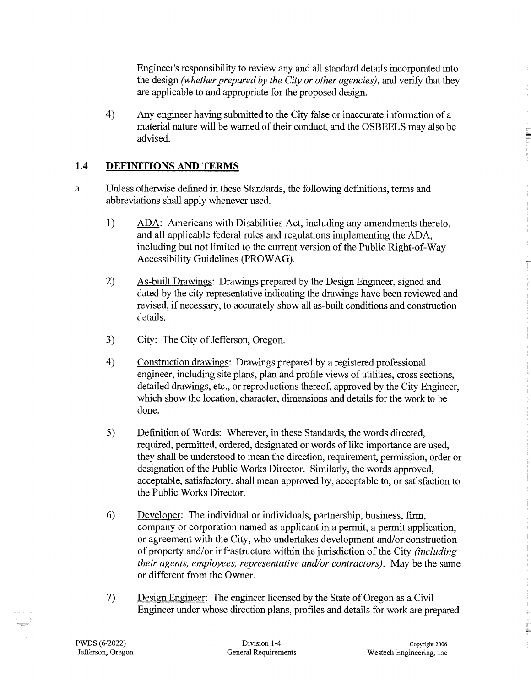Engineer's responsibility to review any and all standard details incorporated into the design *(whether prepared by the City or other agencies),* and verify that they are applicable to and appropriate for the proposed design.

4) Any engineer having submitted to the City false or inaccurate information of <sup>a</sup> material nature will be warned of their conduct, and the OSBEELS may also be advised.

# **1.4 DEFINITIONS AND TERMS**

- a. Unless otherwise defined in these Standards, the following definitions, terms and abbreviations shall apply whenever used.
	- 1) ADA: Americans with Disabilities Act, including any amendments thereto, and all applicable federal rules and regulations implementing the ADA, including but not limited to the current version of the Public Right-of-Way Accessibility Guidelines (PROWAG).
	- 2) As-built Drawings: Drawings prepared by the Design Engineer, signed and dated by the city representative indicating the drawings have been reviewed and revised, if necessary, to accurately show all as-built conditions and construction details.
	- 3) City: The City of Jefferson, Oregon.
	- 4) Construction drawings: Drawings prepared by a registered professional engineer, including site plans, plan and profile views of utilities, cross sections, detailed drawings, etc., or reproductions thereof, approved by the City Engineer, which show the location, character, dimensions and details for the work to be done.
	- 5) Definition of Words: Wherever, in these Standards, the words directed, required, permitted, ordered, designated or words of like importance are used, they shall be understood to mean the direction, requirement, permission, order or designation of the Public Works Director. Similarly, the words approved, acceptable, satisfactory, shall mean approved by, acceptable to, or satisfaction to the Public Works Director.
	- 6) Developer: The individual or individuals, partnership, business, firm, company or corporation named as applicant in a permit, a permit application, or agreement with the City, who undertakes development and/or construction of property and/or infrastructure within the jurisdiction of the City *(including their agents, employees, representative and/or contractors).* May be the same or different from the Owner.
	- 7) Design Engineer: The engineer licensed by the State of Oregon as a Civil Engineer under whose direction plans, profiles and details for work are prepared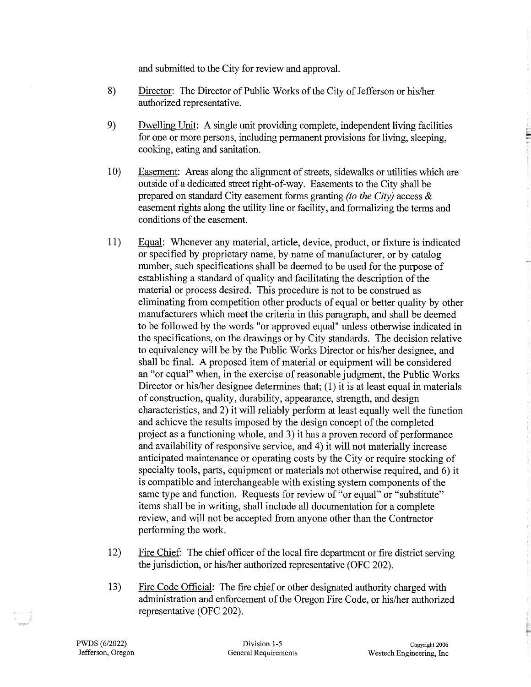and submitted to the City for review and approval.

- 8) Director: The Director of Public Works of the City of Jefferson or his/her authorized representative.
- 9) Dwelling Unit: A single unit providing complete, independent living facilities for one or more persons, including permanent provisions for living, sleeping, cooking, eating and sanitation.
- 10) Easement: Areas along the alignment of streets, sidewalks or utilities which are outside of a dedicated street right-of-way. Easements to the City shall be prepared on standard City easement forms granting *(to the City)* access & easement rights along the utility line or facility, and formalizing the terms and conditions of the easement.
- 11) Equal: Whenever any material, article, device, product, or fixture is indicated or specified by proprietary name, by name of manufacturer, or by catalog number, such specifications shall be deemed to be used for the purpose of establishing a standard of quality and facilitating the description of the material or process desired. This procedure is not to be construed as eliminating from competition other products of equal or better quality by other manufacturers which meet the criteria in this paragraph, and shall be deemed to be followed by the words "or approved equal" unless otherwise indicated in the specifications, on the drawings or by City standards. The decision relative to equivalency will be by the Public Works Director or his/her designee, and shall be final. A proposed item of material or equipment will be considered an "or equal" when, in the exercise of reasonable judgment, the Public Works Director or his/her designee determines that; (1) it is at least equal in materials of construction, quality, durability, appearance, strength, and design characteristics, and 2) it will reliably perform at least equally well the function and achieve the results imposed by the design concept of the completed project as a functioning whole, and 3) it has a proven record of performance and availability of responsive service, and 4) it will not materially increase anticipated maintenance or operating costs by the City or require stocking of specialty tools, parts, equipment or materials not otherwise required, and 6) it is compatible and interchangeable with existing system components of the same type and function. Requests for review of "or equal" or "substitute" items shall be in writing, shall include all documentation for a complete review, and will not be accepted from anyone other than the Contractor performing the work.
- 12) Fire Chief: The chief officer of the local fire department or fire district serving the jurisdiction, or his/her authorized representative (OFC 202).
- 13) Fire Code Official: The fire chief or other designated authority charged with administration and enforcement of the Oregon Fire Code, or his/her authorized representative (OFC 202).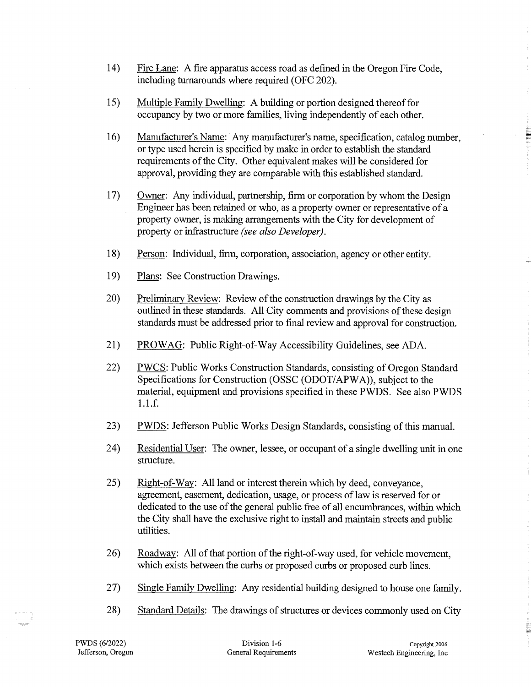- 14) Fire Lane: A fire apparatus access road as defined in the Oregon Fire Code, including turnarounds where required (OFC 202).
- 15) Multiple Family Dwelling: A building or portion designed thereof for occupancy by two or more families, living independently of each other.
- 16) Manufacturer's Name: Any manufacturer's name, specification, catalog number, or type used herein is specified by make in order to establish the standard requirements of the City. Other equivalent makes will be considered for approval, providing they are comparable with this established standard.
- 17) Owner: Any individual, partnership, firm or corporation by whom the Design Engineer has been retained or who, as a property owner or representative of <sup>a</sup> property owner, is making arrangements with the City for development of property or infrastructure *(see also Developer).*
- 18) Person: Individual, firm, corporation, association, agency or other entity.
- 19) Plans: See Construction Drawings.
- 20) Preliminary Review: Review of the construction drawings by the City as outlined in these standards. All City comments and provisions of these design standards must be addressed prior to final review and approval for construction.
- 21) PROWAG: Public Right-of-Way Accessibility Guidelines, see ADA.
- 22) PWCS: Public Works Construction Standards, consisting of Oregon Standard Specifications for Construction (OSSC (ODOT/APWA)), subject to the material, equipment and provisions specified in these PWDS. See also PWDS 1.1.f.
- 23) PWDS: Jefferson Public Works Design Standards, consisting of this manual.
- 24) Residential User: The owner, lessee, or occupant of a single dwelling unit in one structure.
- 25) Right-of-Way: All land or interest therein which by deed, conveyance, agreement, easement, dedication, usage, or process of law is reserved for or dedicated to the use of the general public free of all encumbrances, within which the City shall have the exclusive right to install and maintain streets and public utilities.
- 26) Roadway: All of that portion of the right-of-way used, for vehicle movement, which exists between the curbs or proposed curbs or proposed curb lines.
- 27) Single Family Dwelling: Any residential building designed to house one family.
- 28) Standard Details: The drawings of structures or devices commonly used on City

Ē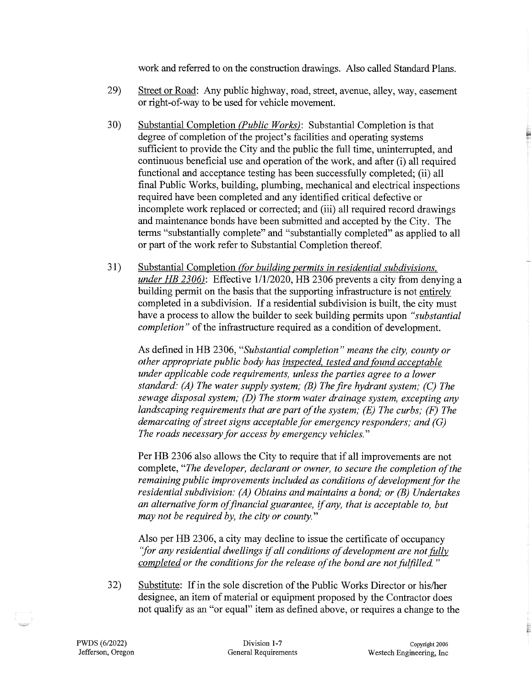work and referred to on the construction drawings. Also called Standard Plans.

- 29) Street or Road: Any public highway, road, street, avenue, alley, way, easement or right-of-way to be used for vehicle movement.
- 30) Substantial Completion *(Public Works):* Substantial Completion is that degree of completion of the project's facilities and operating systems sufficient to provide the City and the public the full time, uninterrupted, and continuous beneficial use and operation of the work, and after (i) all required functional and acceptance testing has been successfully completed; (ii) all final Public Works, building, plumbing, mechanical and electrical inspections required have been completed and any identified critical defective or incomplete work replaced or corrected; and (iii) all required record drawings and maintenance bonds have been submitted and accepted by the City. The terms "substantially complete" and "substantially completed" as applied to all or part of the work refer to Substantial Completion thereof.
- 31) Substantial Completion *(for building permits in residential subdivisions, under HB 2306*): Effective 1/1/2020, HB 2306 prevents a city from denying a building permit on the basis that the supporting infrastructure is not entirely completed in a subdivision. If a residential subdivision is built, the city must have a process to allow the builder to seek building permits upon *"substantial completion"* of the infrastructure required as a condition of development.

As defined in HB 2306, *"Substantial completion" means the city, county or other appropriate public body has inspected. tested and found acceptable under applicable code requirements, unless the parties agree to a lower standard: (A) The water supply system; (B) The fire hydrant system; (C) The sewage disposal system;* (D) *The storm water drainage system, excepting any landscaping requirements that are part of the system; (E) The curbs; (F) The demarcating of street signs acceptable for emergency responders; and (G) The roads necessary for access by emergency vehicles."* 

Per HB 2306 also allows the City to require that if all improvements are not complete, *"The developer, declarant or owner, to secure the completion of the remaining public improvements included as conditions of development for the residential subdivision: (A) Obtains and maintains a bond; or (B) Undertakes an alternative form of financial guarantee,* if *any, that is acceptable to, but may not be required by, the city or county."* 

Also per HB 2306, a city may decline to issue the certificate of occupancy *"for any residential dwellings* if *all conditions of development are not fully completed or the conditions for the release of the bond are not fulfilled* "

32) Substitute: If in the sole discretion of the Public Works Director or his/her designee, an item of material or equipment proposed by the Contractor does not qualify as an "or equal" item as defined above, or requires a change to the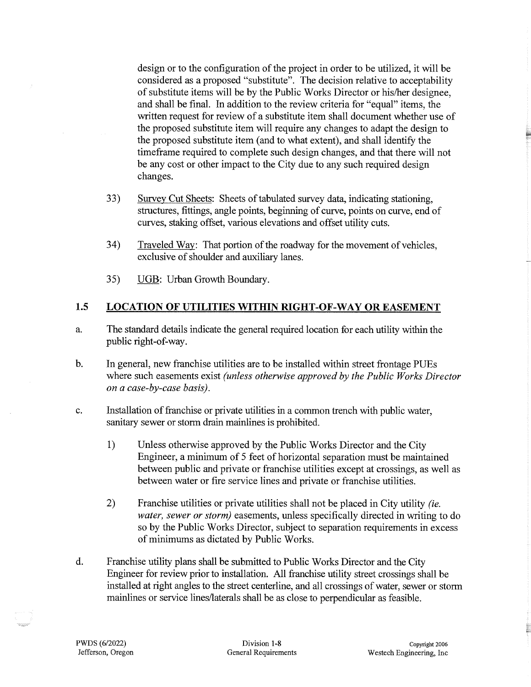design or to the configuration of the project in order to be utilized, it will be considered as a proposed "substitute". The decision relative to acceptability of substitute items will be by the Public Works Director or his/her designee, and shall be final. In addition to the review criteria for "equal" items, the written request for review of a substitute item shall document whether use of the proposed substitute item will require any changes to adapt the design to the proposed substitute item (and to what extent), and shall identify the timeframe required to complete such design changes, and that there will not be any cost or other impact to the City due to any such required design changes.

- 3 3) Survey Cut Sheets: Sheets of tabulated survey data, indicating stationing, structures, fittings, angle points, beginning of curve, points on curve, end of curves, staking offset, various elevations and offset utility cuts.
- 34) Traveled Way: That portion of the roadway for the movement of vehicles, exclusive of shoulder and auxiliary lanes.
- 35) UGB: Urban Growth Boundary.

# **1.5 LOCATION OF UTILITIES WITHIN RIGHT-OF-WAY OR EASEMENT**

- a. The standard details indicate the general required location for each utility within the public right-of-way.
- b. In general, new franchise utilities are to be installed within street frontage PUEs where such easements exist *(unless otherwise approved by the Public Works Director on a case-by-case basis).*
- c. Installation of franchise or private utilities in a common trench with public water, sanitary sewer or storm drain mainlines is prohibited.
	- 1) Unless otherwise approved by the Public Works Director and the City Engineer, a minimum of 5 feet of horizontal separation must be maintained between public and private or franchise utilities except at crossings, as well as between water or fire service lines and private or franchise utilities.
	- 2) Franchise utilities or private utilities shall not be placed in City utility *(ie. water, sewer or storm)* easements, unless specifically directed in writing to do so by the Public Works Director, subject to separation requirements in excess of minimums as dictated by Public Works.
- d. Franchise utility plans shall be submitted to Public Works Director and the City Engineer for review prior to installation. All franchise utility street crossings shall be installed at right angles to the street centerline, and all crossings of water, sewer or storm mainlines or service lines/laterals shall be as close to perpendicular as feasible.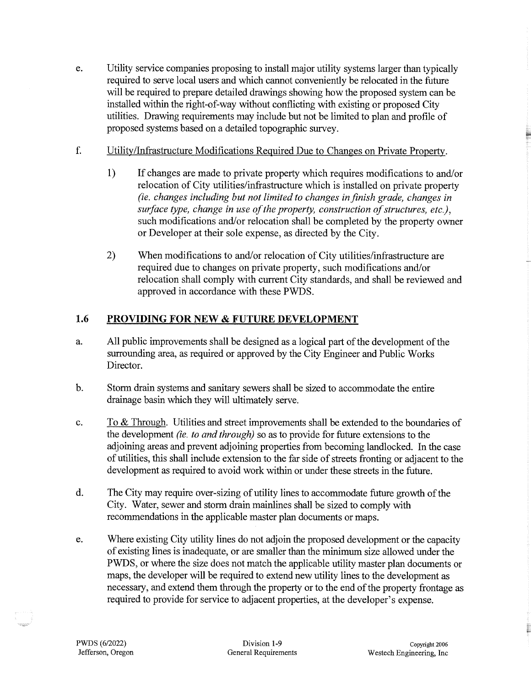- e. Utility service companies proposing to install major utility systems larger than typically required to serve local users and which cannot conveniently be relocated in the future will be required to prepare detailed drawings showing how the proposed system can be installed within the right-of-way without conflicting with existing or proposed City utilities. Drawing requirements may include but not be limited to plan and profile of proposed systems based on a detailed topographic survey.
- f. Utility/Infrastructure Modifications Required Due to Changes on Private Property.
	- 1) If changes are made to private property which requires modifications to and/or relocation of City utilities/infrastructure which is installed on private property *(ie. changes including but not limited to changes in finish grade, changes in surface type, change in use of the property, construction of structures, etc.),*  such modifications and/or relocation shall be completed by the property owner or Developer at their sole expense, as directed by the City.
	- 2) When modifications to and/or relocation of City utilities/infrastructure are required due to changes on private property, such modifications and/or relocation shall comply with current City standards, and shall be reviewed and approved in accordance with these PWDS.

# **1.6 PROVIDING FOR NEW & FUTURE DEVELOPMENT**

- a. All public improvements shall be designed as a logical part of the development of the surrounding area, as required or approved by the City Engineer and Public Works Director.
- b. Storm drain systems and sanitary sewers shall be sized to accommodate the entire drainage basin which they will ultimately serve.
- c.  $\Gamma$  To & Through. Utilities and street improvements shall be extended to the boundaries of the development *(ie. to and through)* so as to provide for future extensions to the adjoining areas and prevent adjoining properties from becoming landlocked. In the case of utilities, this shall include extension to the far side of streets fronting or adjacent to the development as required to avoid work within or under these streets in the future.
- d. The City may require over-sizing of utility lines to accommodate future growth of the City. Water, sewer and storm drain mainlines shall be sized to comply with recommendations in the applicable master plan documents or maps.
- e. Where existing City utility lines do not adjoin the proposed development or the capacity of existing lines is inadequate, or are smaller than the minimum size allowed under the PWDS, or where the size does not match the applicable utility master plan documents or maps, the developer will be required to extend new utility lines to the development as necessary, and extend them through the property or to the end of the property frontage as required to provide for service to adjacent properties, at the developer's expense.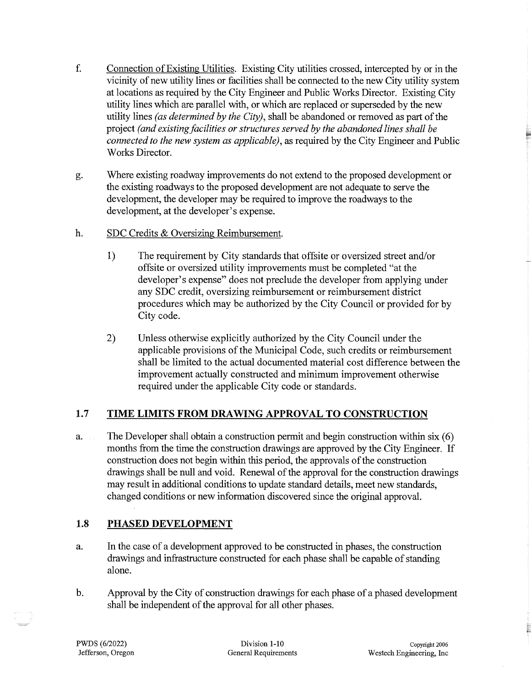- f. Connection of Existing Utilities. Existing City utilities crossed, intercepted by or in the vicinity of new utility lines or facilities shall be connected to the new City utility system at locations as required by the City Engineer and Public Works Director. Existing City utility lines which are parallel with, or which are replaced or superseded by the new utility lines *(as determined by the City),* shall be abandoned or removed as part of the project *(and existing facilities or structures served by the abandoned lines shall be connected to the new system as applicable),* as required by the City Engineer and Public Works Director.
- g. Where existing roadway improvements do not extend to the proposed development or the existing roadways to the proposed development are not adequate to serve the development, the developer may be required to improve the roadways to the development, at the developer's expense.
- h. SDC Credits & Oversizing Reimbursement.
	- 1) The requirement by City standards that offsite or oversized street and/or offsite or oversized utility improvements must be completed "at the developer's expense" does not preclude the developer from applying under any SDC credit, oversizing reimbursement or reimbursement district procedures which may be authorized by the City Council or provided for by City code.
	- 2) Unless otherwise explicitly authorized by the City Council under the applicable provisions of the Municipal Code, such credits or reimbursement shall be limited to the actual documented material cost difference between the improvement actually constructed and minimum improvement otherwise required under the applicable City code or standards.

# 1.7 TIME LIMITS FROM DRAWING APPROVAL TO CONSTRUCTION

a. The Developer shall obtain a construction permit and begin construction within  $\ddot{\text{six}}$  (6) months from the time the construction drawings are approved by the City Engineer. If construction does not begin within this period, the approvals of the construction drawings shall be null and void. Renewal of the approval for the construction drawings may result in additional conditions to update standard details, meet new standards, changed conditions or new information discovered since the original approval.

# **1.8 PHASED DEVELOPMENT**

- a. In the case of a development approved to be constructed in phases, the construction drawings and infrastructure constructed for each phase shall be capable of standing alone.
- b. Approval by the City of construction drawings for each phase of a phased development shall be independent of the approval for all other phases.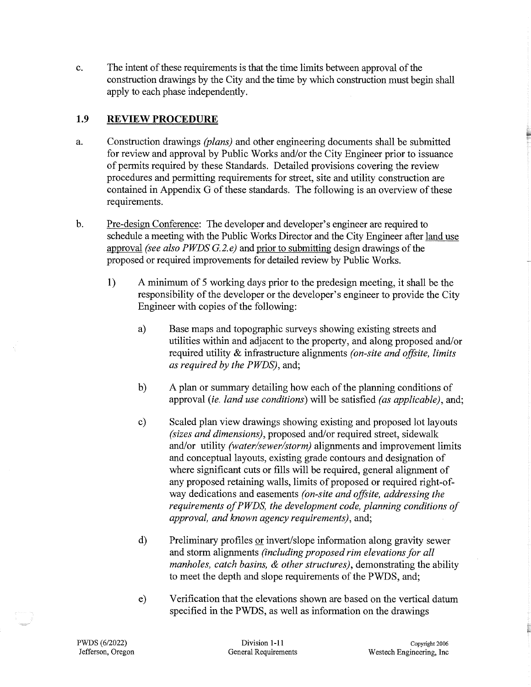c. The intent of these requirements is that the time limits between approval of the construction drawings by the City and the time by which construction must begin shall apply to each phase independently.

# **1.9 REVIEW PROCEDURE**

- a. Construction drawings *(plans)* and other engineering documents shall be submitted for review and approval by Public Works and/or the City Engineer prior to issuance of permits required by these Standards. Detailed provisions covering the review procedures and permitting requirements for street, site and utility construction are contained in Appendix G of these standards. The following is an overview of these requirements.
- b. Pre-design Conference: The developer and developer's engineer are required to schedule a meeting with the Public Works Director and the City Engineer after land use approval *(see also PWDS G.2.e)* and prior to submitting design drawings of the proposed or required improvements for detailed review by Public Works.
	- 1) A minimum of 5 working days prior to the predesign meeting, it shall be the responsibility of the developer or the developer's engineer to provide the City Engineer with copies of the following:
		- a) Base maps and topographic surveys showing existing streets and utilities within and adjacent to the property, and along proposed and/or required utility & infrastructure alignments *(on-site and offsite, limits as required by the PWDS),* and;
		- b) A plan or summary detailing how each of the planning conditions of approval *(ie. land use conditions)* will be satisfied *(as applicable),* and;
		- c) Scaled plan view drawings showing existing and proposed lot layouts *(sizes and dimensions),* proposed and/or required street, sidewalk and/or utility *(water/sewer/storm)* alignments and improvement limits and conceptual layouts, existing grade contours and designation of where significant cuts or fills will be required, general alignment of any proposed retaining walls, limits of proposed or required right-ofway dedications and easements *(on-site and offsite, addressing the requirements of PWDS, the development code, planning conditions of approval, and known agency requirements),* and;
		- d) Preliminary profiles or invert/slope information along gravity sewer and storm alignments *(including proposed rim elevations for all manholes, catch basins,* & *other structures),* demonstrating the ability to meet the depth and slope requirements of the PWDS, and;
		- e) Verification that the elevations shown are based on the vertical datum specified in the PWDS, as well as information on the drawings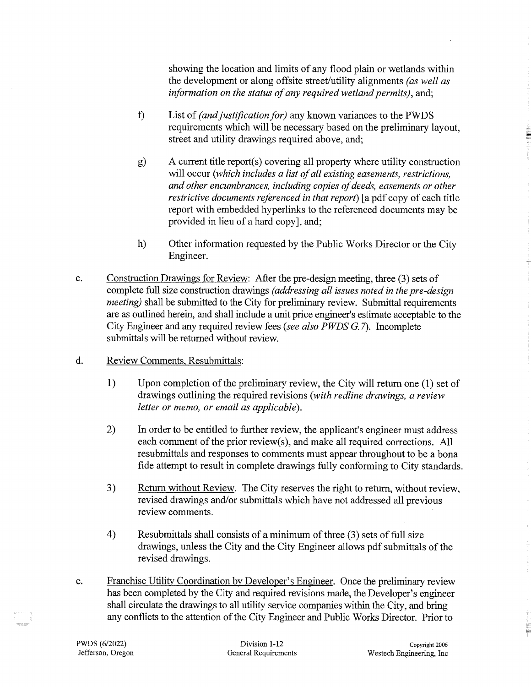showing the location and limits of any flood plain or wetlands within the development or along offsite street/utility alignments *(as well as information on the status of any required wetland permits), and;* 

- f) List of *(and justification for)* any known variances to the PWDS requirements which will be necessary based on the preliminary layout, street and utility drawings required above, and;
- g) A current title report( s) covering all property where utility construction will occur *(which includes a list of all existing easements, restrictions, and other encumbrances, including copies of deeds, easements or other restrictive documents referenced in that report*) [a pdf copy of each title report with embedded hyperlinks to the referenced documents may be provided in lieu of a hard copy], and;
- h) Other information requested by the Public Works Director or the City Engineer.
- c. Construction Drawings for Review: After the pre-design meeting, three (3) sets of complete full size construction drawings *(addressing all issues noted in the pre-design meeting*) shall be submitted to the City for preliminary review. Submittal requirements are as outlined herein, and shall include a unit price engineer's estimate acceptable to the City Engineer and any required review fees *(see also PWDS* G. 7). Incomplete submittals will be returned without review.
- d. Review Comments, Resubmittals:
	- 1) Upon completion of the preliminary review, the City will return one (1) set of drawings outlining the required revisions *(with redline drawings, a review letter or memo, or email as applicable).*
	- 2) In order to be entitled to further review, the applicant's engineer must address each comment of the prior review(s), and make all required corrections. All resubmittals and responses to comments must appear throughout to be a bona fide attempt to result in complete drawings fully conforming to City standards.
	- 3) Return without Review. The City reserves the right to return, without review, revised drawings and/or submittals which have not addressed all previous review comments.
	- 4) Resubmittals shall consists of a minimum of three (3) sets of full size drawings, unless the City and the City Engineer allows pdf submittals of the revised drawings.
- e. Franchise Utility Coordination by Developer's Engineer. Once the preliminary review has been completed by the City and required revisions made, the Developer's engineer shall circulate the drawings to all utility service companies within the City, and bring any conflicts to the attention of the City Engineer and Public Works Director. Prior to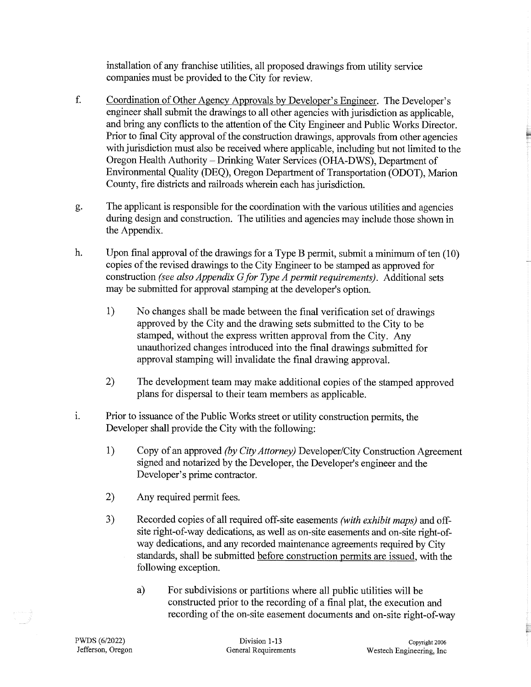installation of any franchise utilities, all proposed drawings from utility service companies must be provided to the City for review.

- f. Coordination of Other Agency Approvals by Developer's Engineer. The Developer's engineer shall submit the drawings to all other agencies with jurisdiction as applicable, and bring any conflicts to the attention of the City Engineer and Public Works Director. Prior to final City approval of the construction drawings, approvals from other agencies with jurisdiction must also be received where applicable, including but not limited to the Oregon Health Authority- Drinking Water Services (OHA-DWS), Department of Environmental Quality (DEQ), Oregon Department of Transportation (ODOT), Marion County, fire districts and railroads wherein each has jurisdiction.
- g. The applicant is responsible for the coordination with the various utilities and agencies during design and construction. The utilities and agencies may include those shown in the Appendix.
- h. Upon final approval of the drawings for a Type B permit, submit a minimum of ten (10) copies of the revised drawings to the City Engineer to be stamped as approved for construction *(see also Appendix* G *for Type A permit requirements).* Additional sets may be submitted for approval stamping at the developer's option.
	- 1) No changes shall be made between the final verification set of drawings approved by the City and the drawing sets submitted to the City to be stamped, without the express written approval from the City. Any unauthorized changes introduced into the final drawings submitted for approval stamping will invalidate the final drawing approval.
	- 2) The development team may make additional copies of the stamped approved <sup>p</sup>lans for dispersal to their team members as applicable.
- 1. Prior to issuance of the Public Works street or utility construction permits, the Developer shall provide the City with the following:
	- 1) Copy of an approved *(by City Attorney)* Developer/City Construction Agreement signed and notarized by the Developer, the Developer's engineer and the Developer's prime contractor.
	- 2) Any required permit fees.
	- 3) Recorded copies of all required off-site easements *(with exhibit maps)* and offsite right-of-way dedications, as well as on-site easements and on-site right-ofway dedications, and any recorded maintenance agreements required by City standards, shall be submitted before construction permits are issued, with the following exception.
		- a) For subdivisions or partitions where all public utilities will be constructed prior to the recording of a final plat, the execution and recording of the on-site easement documents and on-site right-of-way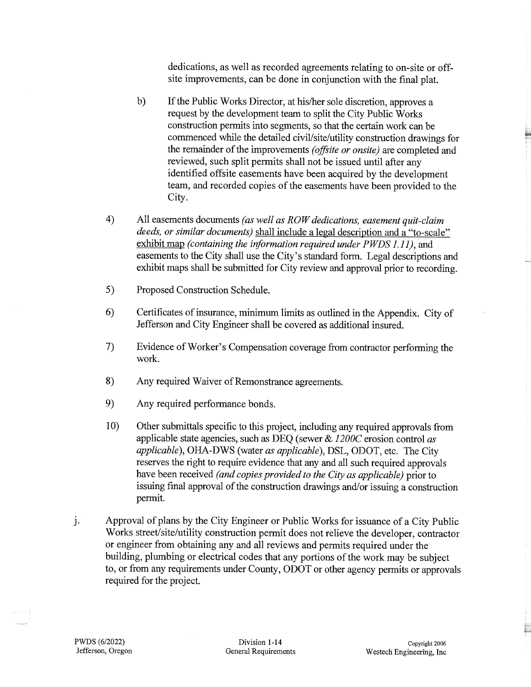dedications, as well as recorded agreements relating to on-site or offsite improvements, can be done in conjunction with the final plat.

- b) If the Public Works Director, at his/her sole discretion, approves a request by the development team to split the City Public Works construction permits into segments, so that the certain work can be commenced while the detailed civil/site/utility construction drawings for the remainder of the improvements *(offsite or onsite)* are completed and reviewed, such split permits shall not be issued until after any identified offsite easements have been acquired by the development team, and recorded copies of the easements have been provided to the City.
- 4) All easements documents *(as well as ROW dedications, easement quit-claim deeds, or similar documents)* shall include a legal description and a "to-scale" exhibit map *(containing the information required under PWDS 1.11)*, and easements to the City shall use the City's standard form. Legal descriptions and exhibit maps shall be submitted for City review and approval prior to recording.
- 5) Proposed Construction Schedule.
- 6) Certificates of insurance, minimum limits as outlined in the Appendix. City of Jefferson and City Engineer shall be covered as additional insured.
- 7) Evidence of Worker's Compensation coverage from contractor performing the work.
- 8) Any required Waiver of Remonstrance agreements.
- 9) Any required performance bonds.
- 10) Other submittals specific to this project, including any required approvals from applicable state agencies, such as DEQ (sewer & *1200C* erosion control *as applicable),* OHA-DWS (water *as applicable),* DSL, ODOT, etc. The City reserves the right to require evidence that any and all such required approvals have been received *(and copies provided to the City as applicable)* prior to issuing final approval of the construction drawings and/or issuing a construction permit.
- J. Approval of plans by the City Engineer or Public Works for issuance of a City Public Works street/site/utility construction permit does not relieve the developer, contractor or engineer from obtaining any and all reviews and permits required under the building, plumbing or electrical codes that any portions of the work may be subject to, or from any requirements under County, ODOT or other agency permits or approvals required for the project.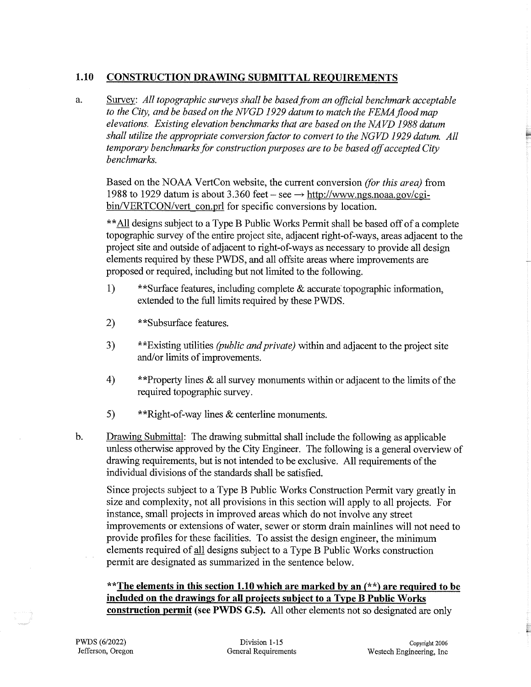# **1.10 CONSTRUCTION DRAWING SUBMITTAL REQUIREMENTS**

a. Survey: All topographic surveys shall be based from an official benchmark acceptable *to the City, and be based on the NVGD 1929 datum to match the FEMAjloodmap elevations. Existing elevation benchmarks that are based on the NAVD 1988 datum shall utilize the appropriate conversion factor to convert to the NGVD 1929 datum. All temporary benchmarks for construction purposes are to be based off accepted City benchmarks.* 

Based on the NOAA VertCon website, the current conversion *(for this area)* from 1988 to 1929 datum is about 3.360 feet – see  $\rightarrow$  http://www.ngs.noaa.gov/cgibin/VERTCON/vert con.prl for specific conversions by location.

\*\*All designs subject to a Type B Public Works Permit shall be based off of a complete topographic survey of the entire project site, adjacent right-of-ways, areas adjacent to the project site and outside of adjacent to right-of-ways as necessary to provide all design elements required by these PWDS, and all offsite areas where improvements are proposed or required, including but not limited to the following.

- 1) \*\*Surface features, including complete & accurate'topographic information, extended to the full limits required by these PWDS.
- 2) \*\*Subsurface features.
- 3) \*\*Existing utilities *(public and private)* within and adjacent to the project site and/or limits of improvements.
- 4) \*\*Property lines & all survey monuments within or adjacent to the limits of the required topographic survey.
- 5) \*\*Right-of-way lines & centerline monuments.
- b. Drawing Submittal: The drawing submittal shall include the following as applicable unless otherwise approved by the City Engineer. The following is a general overview of drawing requirements, but is not intended to be exclusive. All requirements of the individual divisions of the standards shall be satisfied.

Since projects subject to a Type B Public Works Construction Permit vary greatly in size and complexity, not all provisions in this section will apply to all projects. For instance, small projects in improved areas which do not involve any street improvements or extensions of water, sewer or storm drain mainlines will not need to provide profiles for these facilities. To assist the design engineer, the minimum elements required of all designs subject to a Type B Public Works construction permit are designated as summarized in the sentence below.

**\*\*The elements in this section 1.10 which are marked by an** (\*\*) **are required to be included on the drawings for all projects subject to a Type B Public Works construction permit** (see **PWDS G.5).** All other elements not so designated are only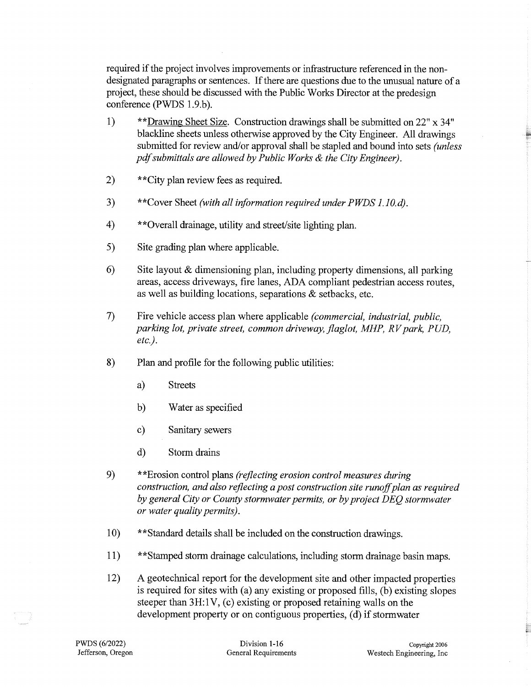required ifthe project involves improvements or infrastructure referenced in the nondesignated paragraphs or sentences. If there are questions due to the unusual nature of <sup>a</sup> project, these should be discussed with the Public Works Director at the predesign conference (PWDS 1.9.b).

- 1) \*\*Drawing Sheet Size. Construction drawings shall be submitted on 22" x 34" blackline sheets unless otherwise approved by the City Engineer. All drawings submitted for review and/or approval shall be stapled and bound into sets *(unless pdf submittals are allowed by Public Works* & *the City Engineer).*
- 2) \*\*City plan review fees as required.
- 3) \*\*Cover Sheet *(with all information required under PWDS 1.10.d).*
- 4) \*\*Overall drainage, utility and street/site lighting plan.
- 5) Site grading plan where applicable.
- 6) Site layout & dimensioning plan, including property dimensions, all parking areas, access driveways, fire lanes, ADA compliant pedestrian access routes, as well as building locations, separations & setbacks, etc.
- 7) Fire vehicle access plan where applicable *(commercial, industrial, public, parking lot, private street, common driveway, flaglot, MHP, RV park, PUD, etc.).*
- 8) Plan and profile for the following public utilities:
	- a) Streets
	- b) Water as specified
	- c) Sanitary sewers
	- d) Storm drains
- 9) \*\*Erosion control plans *(reflecting erosion control measures during construction, and also reflecting a post construction site runoff plan as required by general City or County stormwater permits, or by project DEQ stormwater or water quality permits).*
- 10) \*\*Standard details shall be included on the construction drawings.
- 11) \*\*Stamped storm drainage calculations, including storm drainage basin maps.
- 12) A geotechnical report for the development site and other impacted properties is required for sites with (a) any existing or proposed fills, (b) existing slopes steeper than 3H:1V, (c) existing or proposed retaining walls on the development property or on contiguous properties, (d) if stormwater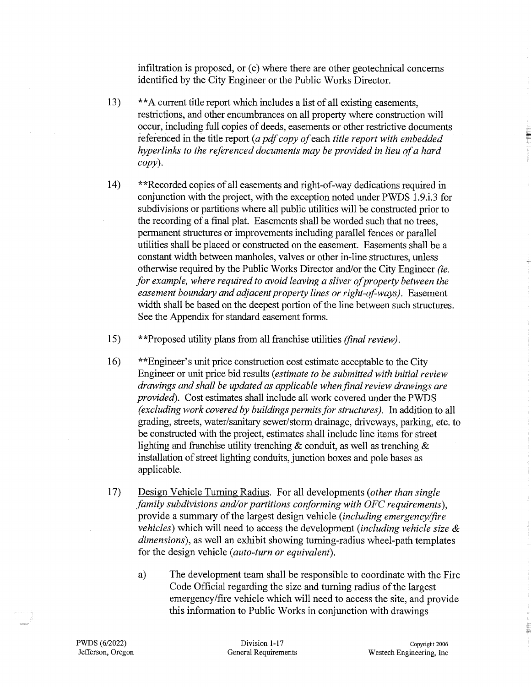infiltration is proposed, or  $(e)$  where there are other geotechnical concerns identified by the City Engineer or the Public Works Director.

- 13) \*\*A current title report which includes a list of all existing easements, restrictions, and other encumbrances on all property where construction will occur, including full copies of deeds, easements or other restrictive documents referenced in the title report *(a pdf copy of* each *title report with embedded hyper/inks to the referenced documents may be provided in lieu of a hard copy).*
- 14) \*\*Recorded copies of all easements and right-of-way dedications required in conjunction with the project, with the exception noted under PWDS 1.9.1.3 for subdivisions or partitions where all public utilities will be constructed prior to the recording of a final plat. Easements shall be worded such that no trees, permanent structures or improvements including parallel fences or parallel utilities shall be placed or constructed on the easement. Easements shall be a constant width between manholes, valves or other in-line structures, unless otherwise required by the Public Works Director and/or the City Engineer *(ie. for example, where required to avoid leaving a sliver of property between the easement boundary and adjacent property lines or right-of ways).* Easement width shall be based on the deepest portion of the line between such structures. See the Appendix for standard easement forms.
- 15) \*\*Proposed utility plans from all franchise utilities *(final review).*
- 16) \*\*Engineer's unit price construction cost estimate acceptable to the City Engineer or unit price bid results *(estimate to be submitted with initial review drawings and shall be updated as applicable when final review drawings are provided).* Cost estimates shall include all work covered under the PWDS *(excluding work covered by buildings permits for structures).* In addition to all grading, streets, water/sanitary sewer/storm drainage, driveways, parking, etc. to be constructed with the project, estimates shall include line items for street lighting and franchise utility trenching  $\&$  conduit, as well as trenching  $\&$ installation of street lighting conduits, junction boxes and pole bases as applicable.
- 17) Design Vehicle Turning Radius. For all developments *(other than single family subdivisions and/or partitions conforming with OFC requirements),*  provide a summary of the largest design vehicle *(including emergency/fire vehicles)* which will need to access the development *(including vehicle size* & *dimensions),* as well an exhibit showing turning-radius wheel-path templates for the design vehicle *(auto-turn or equivalent).* 
	- a) The development team shall be responsible to coordinate with the Fire Code Official regarding the size and turning radius of the largest emergency/fire vehicle which will need to access the site, and provide this information to Public Works in conjunction with drawings

È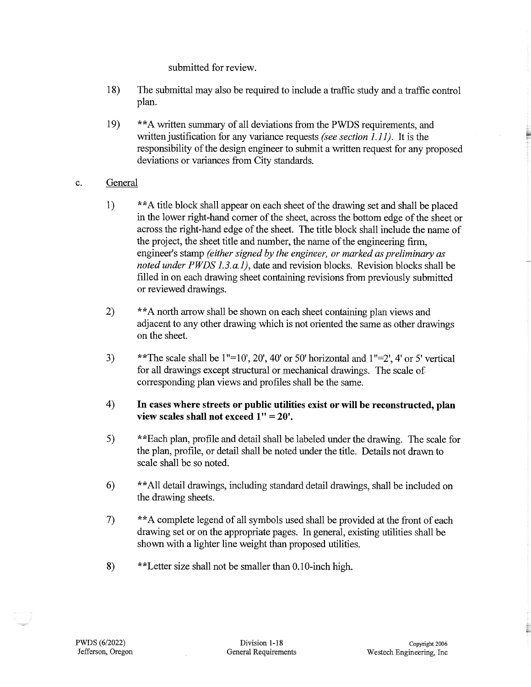submitted for review.

- 18) The submittal may also be required to include a traffic study and a traffic control plan.
- 19) \*\*A written summary of all deviations from the PWDS requirements, and written justification for any variance requests *(see section 1.11).* It is the responsibility of the design engineer to submit a written request for any proposed deviations or variances from City standards.

#### c. General

- **1)** \*\*A title block shall appear on each sheet of the drawing set and shall be placed in the lower right-hand comer of the sheet, across the bottom edge of the sheet or across the right-hand edge of the sheet. The title block shall include the name of the project, the sheet title and number, the name of the engineering firm, engineer's stamp *(either signed by the engineer, or marked as preliminary as noted under PWDS 1.3.a.I),* date and revision blocks. Revision blocks shall be filled in on each drawing sheet containing revisions from previously submitted or reviewed drawings.
- 2) \*\*A north arrow shall be shown on each sheet containing plan views and adjacent to any other drawing which is not oriented the same as other drawings on the sheet.
- 3) \*\*The scale shall be  $1" = 10'$ ,  $20'$ ,  $40'$  or  $50'$  horizontal and  $1" = 2'$ ,  $4'$  or  $5'$  vertical for all drawings except structural or mechanical drawings. The scale 0£ corresponding plan views and profiles shall be the same.
- 4) **In cases where streets or public utilities exist or will be reconstructed, plan view scales shall not exceed**  $1'' = 20'$ **.**
- 5) \*\*Each plan, profile and detail shall be labeled under the drawing. The scale for the plan, profile, or detail shall be noted under the title. Details not drawn to scale shall be so noted.
- 6) \*\*All detail drawings, including standard detail drawings, shall be included on the drawing sheets.
- 7) \*\*A complete legend of all symbols used shall be provided at the front of each drawing set or on the appropriate pages. In general, existing utilities shall be shown with a lighter line weight than proposed utilities.
- 8) \*\*Letter size shall not be smaller than 0.10-inch high.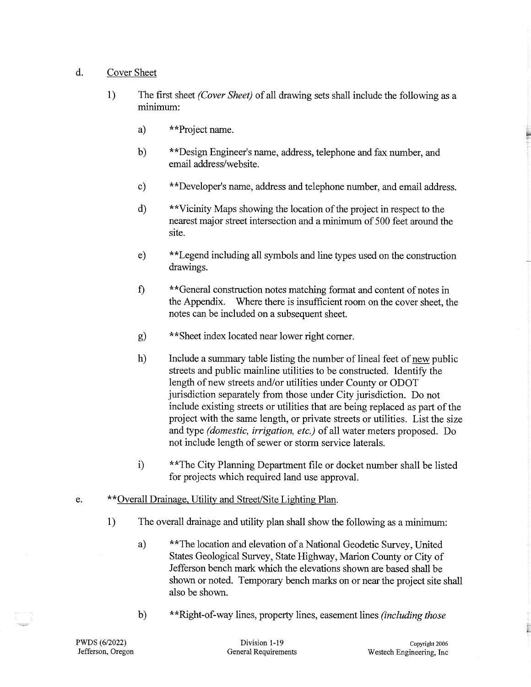#### d. Cover Sheet

- 1) The first sheet *(Cover Sheet)* of all drawing sets shall include the following as a minimum:
	- a) \*\*Project name.
	- b) \*\*Design Engineer's name, address, telephone and fax number, and email address/website.
	- c) \*\*Developer's name, address and telephone number, and email address.
	- d) \*\*Vicinity Maps showing the location of the project in respect to the nearest major street intersection and a minimum of 500 feet around the site.
	- e) \*\*Legend including all symbols and line types used on the construction drawings.
	- f) \*\*General construction notes matching format and content of notes in the Appendix. Where there is insufficient room on the cover sheet, the notes can be included on a subsequent sheet.
	- g) \*\*Sheet index located near lower right comer.
	- h) Include a summary table listing the number of lineal feet of new public streets and public mainline utilities to be constructed. Identify the length of new streets and/or utilities under County or ODOT jurisdiction separately from those under City jurisdiction. Do not include existing streets or utilities that are being replaced as part of the project with the same length, or private streets or utilities. List the size and type *(domestic, irrigation, etc.)* of all water meters proposed. Do not include length of sewer or storm service laterals.
	- i) \*\*The City Planning Department file or docket number shall be listed for projects which required land use approval.
- e. \*\*Overall Drainage, Utility and Street/Site Lighting Plan.
	- 1) The overall drainage and utility plan shall show the following as a minimum:
		- a) \*\*The location and elevation of a National Geodetic Survey, United States Geological Survey, State Highway, Marion County or City of Jefferson bench mark which the elevations shown are based shall be shown or noted. Temporary bench marks on or near the project site shall also be shown.
		- b) \*\*Right-of-way lines, property lines, easement lines *(including those*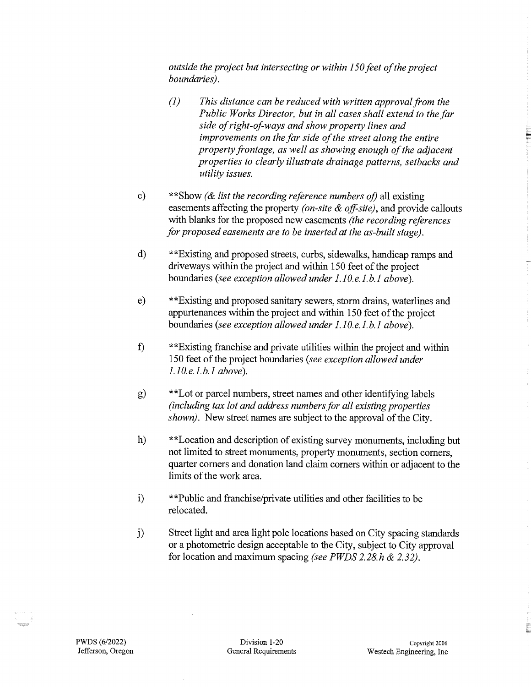*outside the project but intersecting or within 150 feet of the project boundaries).* 

- *(1) This distance can be reduced with written approval from the Public Works Director, but in all cases shall extend to the far side of right-of ways and show property lines and improvements on the jar side of the street along the entire property frontage, as well as showing enough of the adjacent properties to clearly illustrate drainage patterns, setbacks and utility issues.*
- c) \*\*Show *(& list the recording reference numbers of)* all existing easements affecting the property *(on-site* & *off-site),* and provide callouts with blanks for the proposed new easements *(the recording references for proposed easements are to be inserted at the as-built stage).*
- d) \*\*Existing and proposed streets, curbs, sidewalks, handicap ramps and driveways within the project and within 150 feet of the project boundaries *(see exception allowed under 1.10.e.1.b.1 above).*
- e) \*\*Existing and proposed sanitary sewers, storm drains, waterlines and appurtenances within the project and within 150 feet of the project boundaries *(see exception allowed under 1.10.e.1.b.l above).*
- f) \*\*Existing franchise and private utilities within the project and within 150 feet of the project boundaries *(see exception allowed under 1.10.e.1.b.1 above).*
- g) \*\*Lot or parcel numbers, street names and other identifying labels *(including tax lot and address numbers for all existing properties shown).* New street names are subject to the approval of the City.
- h) \*\*Location and description of existing survey monuments, including but not limited to street monuments, property monuments, section comers, quarter comers and donation land claim comers within or adjacent to the limits of the work area.
- i) \*\*Public and franchise/private utilities and other facilities to be relocated.
- j) Street light and area light pole locations based on City spacing standards or a photometric design acceptable to the City, subject to City approval for location and maximum spacing *(see PWDS 2.28.h* & *2.32).*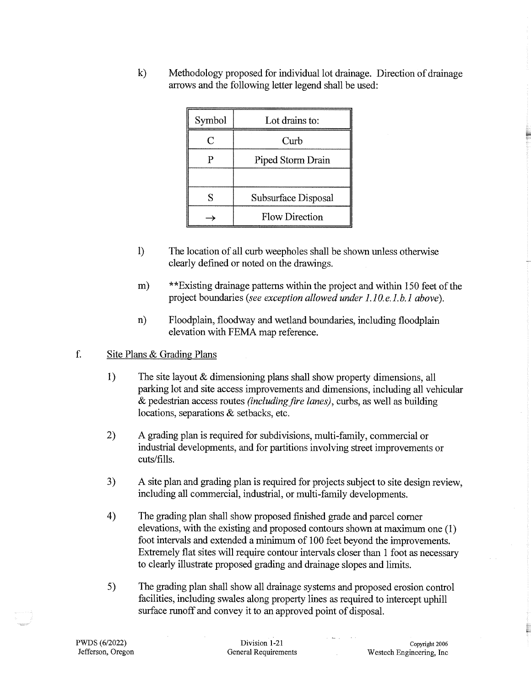k) Methodology proposed for individual lot drainage. Direction of drainage arrows and the following letter legend shall be used:

| Symbol | Lot drains to:      |
|--------|---------------------|
| C      | Curb                |
| p      | Piped Storm Drain   |
|        |                     |
| S      | Subsurface Disposal |
|        | Flow Direction      |

- 1) The location of all curb weepholes shall be shown unless otherwise clearly defined or noted on the drawings.
- m) \*\*Existing drainage patterns within the project and within 150 feet of the project boundaries *(see exception allowed under 1.10. e. l. b. l above).*
- n) Floodplain, floodway and wetland boundaries, including floodplain elevation with FEMA map reference.

#### f. Site Plans & Grading Plans

- 1) The site layout & dimensioning plans shall show property dimensions, all parking lot and site access improvements and dimensions, including all vehicular & pedestrian access routes *(includingfire lanes),* curbs, as well as building locations, separations & setbacks, etc.
- 2) A grading plan is required for subdivisions, multi-family, commercial or industrial developments, and for partitions involving street improvements or cuts/fills.
- 3) A site plan and grading plan is required for projects subject to site design review, including all commercial, industrial, or multi-family developments.
- 4) The grading plan shall show proposed finished grade and parcel comer elevations, with the existing and proposed contours shown at maximum one (1) foot intervals and extended a minimum of 100 feet beyond the improvements. Extremely flat sites will require contour intervals closer than 1 foot as necessary to clearly illustrate proposed grading and drainage slopes and limits.
- 5) The grading plan shall show all drainage systems and proposed erosion control facilities, including swales along property lines as required to intercept uphill surface runoff and convey it to an approved point of disposal.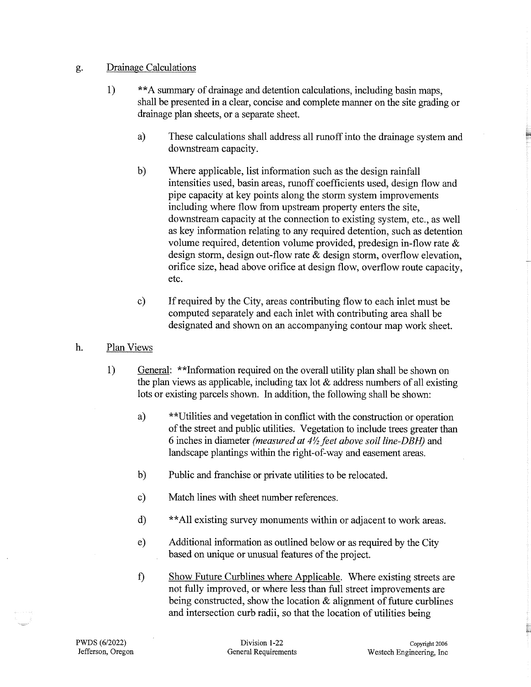#### g. Drainage Calculations

- 1) \*\*A summary of drainage and detention calculations, including basin maps, shall be presented in a clear, concise and complete manner on the site grading or drainage plan sheets, or a separate sheet.
	- a) These calculations shall address all runoff into the drainage system and downstream capacity.
	- b) Where applicable, list information such as the design rainfall intensities used, basin areas, runoff coefficients used, design flow and pipe capacity at key points along the storm system improvements including where flow from upstream property enters the site, downstream capacity at the connection to existing system, etc., as well as key information relating to any required detention, such as detention volume required, detention volume provided, predesign in-flow rate & design storm, design out-flow rate & design storm, overflow elevation, orifice size, head above orifice at design flow, overflow route capacity, etc.
	- c) If required by the City, areas contributing flow to each inlet must be computed separately and each inlet with contributing area shall be designated and shown on an accompanying contour map work sheet.
- h. Plan Views
	- 1) General: \*\*Information required on the overall utility plan shall be shown on the plan views as applicable, including tax lot  $\&$  address numbers of all existing lots or existing parcels shown. In addition, the following shall be shown:
		- a) \*\*Utilities and vegetation in conflict with the construction or operation of the street and public utilities. Vegetation to include trees greater than 6 inches in diameter *(measured at 4<sup>1</sup>/<sub>2</sub> feet above soil line-DBH)* and landscape plantings within the right-of-way and easement areas.
		- b) Public and franchise or private utilities to be relocated.
		- c) Match lines with sheet number references.
		- d) \*\*All existing survey monuments within or adjacent to work areas.
		- e) Additional information as outlined below or as required by the City based on unique or unusual features of the project.
		- f) Show Future Curblines where Applicable. Where existing streets are not fully improved, or where less than full street improvements are being constructed, show the location  $\&$  alignment of future curblines and intersection curb radii, so that the location of utilities being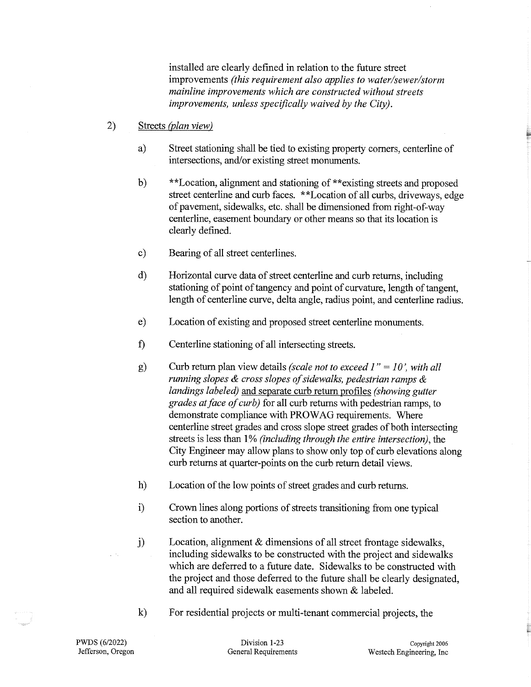installed are clearly defined in relation to the future street improvements *(this requirement also applies to water/sewer/storm mainline improvements which are constructed without streets improvements, unless specifically waived by the City).* 

- 2) Streets *(plan view)* 
	- a) Street stationing shall be tied to existing property comers, centerline of intersections, and/or existing street monuments.
	- b) \*\*Location, alignment and stationing of \*\*existing streets and proposed street centerline and curb faces. \*\*Location of all curbs, driveways, edge of pavement, sidewalks, etc. shall be dimensioned from right-of-way centerline, easement boundary or other means so that its location is clearly defined.
	- c) Bearing of all street centerlines.
	- d) Horizontal curve data of street centerline and curb returns, including stationing of point of tangency and point of curvature, length of tangent, length of centerline curve, delta angle, radius point, and centerline radius.
	- e) Location of existing and proposed street centerline monuments.
	- f) Centerline stationing of all intersecting streets.
	- g) Curb return plan view details *(scale not to exceed 1* " = *10* ', *with all running slopes* & *cross slopes of sidewalks, pedestrian ramps* & *landings labeled)* and separate curb return profiles *(showing gutter grades at face of curb)* for all curb returns with pedestrian ramps, to demonstrate compliance with PROWAG requirements. Where centerline street grades and cross slope street grades of both intersecting streets is less than 1% *(including through the entire intersection)*, the City Engineer may allow plans to show only top of curb elevations along curb returns at quarter-points on the curb return detail views.
	- h) Location of the low points of street grades and curb returns.
	- i) Crown lines along portions of streets transitioning from one typical section to another.
	- j) Location, alignment & dimensions of all street frontage sidewalks, including sidewalks to be constructed with the project and sidewalks which are deferred to a future date. Sidewalks to be constructed with the project and those deferred to the future shall be clearly designated, and all required sidewalk easements shown & labeled.
	- k) For residential projects or multi-tenant commercial projects, the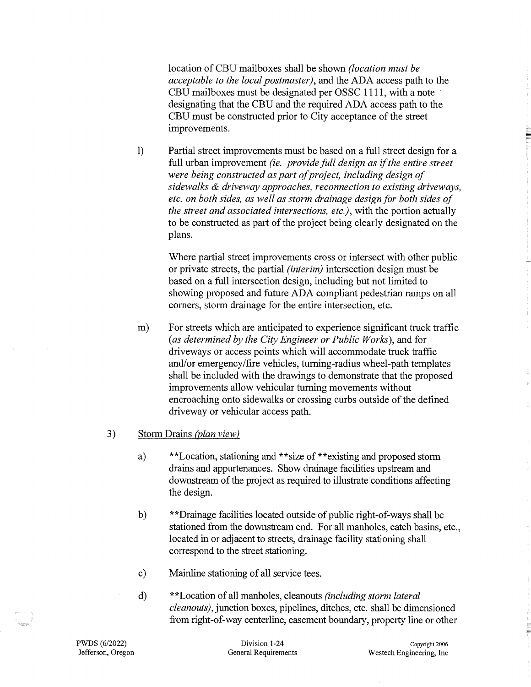location of CBU mailboxes shall be shown *(location must be acceptable to the local postmaster),* and the ADA access path to the CBU mailboxes must be designated per OSSC 1111, with a note designating that the CBU and the required ADA access path to the CBU must be constructed prior to City acceptance of the street improvements.

1) Partial street improvements must be based on a full street design for a full urban improvement *(ie. provide full design as* if *the entire street were being constructed as part of project, including design of sidewalks* & *driveway approaches, reconnection to existing driveways, etc. on both sides, as well as storm drainage design for both sides of the street and associated intersections, etc.),* with the portion actually to be constructed as part of the project being clearly designated on the plans.

Where partial street improvements cross or intersect with other public or private streets, the partial *(interim)* intersection design must be based on a full intersection design, including but not limited to showing proposed and future ADA compliant pedestrian ramps on all comers, storm drainage for the entire intersection, etc.

m) For streets which are anticipated to experience significant truck traffic *(as determined by the City Engineer or Public Works),* and for driveways or access points which will accommodate truck traffic and/or emergency/fire vehicles, turning-radius wheel-path templates shall be included with the drawings to demonstrate that the proposed improvements allow vehicular turning movements without encroaching onto sidewalks or crossing curbs outside of the defined driveway or vehicular access path.

#### 3) Storm Drains *(plan view)*

- a) \*\*Location, stationing and \*\*size of \*\*existing and proposed storm drains and appurtenances. Show drainage facilities upstream and downstream of the project as required to illustrate conditions affecting the design.
- b) \*\*Drainage facilities located outside of public right-of-ways shall be stationed from the downstream end. For all manholes, catch basins, etc., located in or adjacent to streets, drainage facility stationing shall correspond to the street stationing.
- c) Mainline stationing of all service tees.
- d) \*\*Location of all manholes, cleanouts *(including storm lateral cleanouts),* junction boxes, pipelines, ditches, etc. shall be dimensioned from right-of-way centerline, easement boundary, property line or other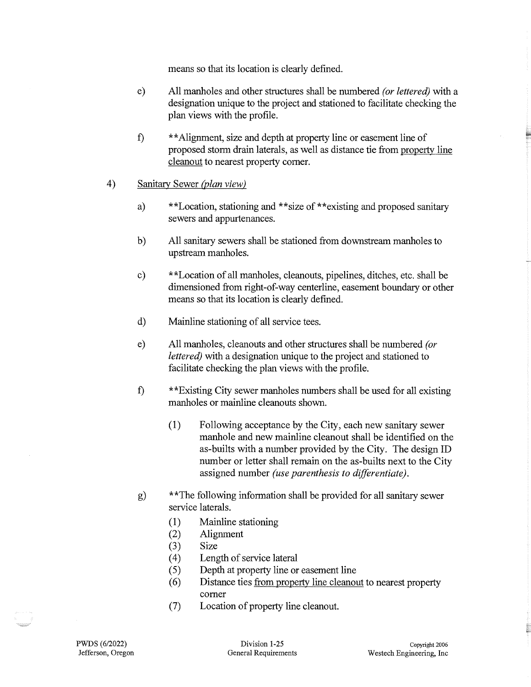means so that its location is clearly defmed.

- e) All manholes and other structures shall be numbered *(or lettered)* with a designation unique to the project and stationed to facilitate checking the plan views with the profile.
- f) \*\*Alignment, size and depth at property line or easement line of proposed storm drain laterals, as well as distance tie from property line cleanout to nearest property comer.
- 4) Sanitary Sewer *(plan view)* 
	- a) \*\*Location, stationing and \*\*size of \*\*existing and proposed sanitary sewers and appurtenances.
	- b) All sanitary sewers shall be stationed from downstream manholes to upstream manholes.
	- c) \*\*Location of all manholes, cleanouts, pipelines, ditches, etc. shall be dimensioned from right-of-way centerline, easement boundary or other means so that its location is clearly defined.
	- d) Mainline stationing of all service tees.
	- e) All manholes, cleanouts and other structures shall be numbered *(or lettered)* with a designation unique to the project and stationed to facilitate checking the plan views with the profile.
	- f) \*\*Existing City sewer manholes numbers shall be used for all existing manholes or mainline cleanouts shown.
		- (1) Following acceptance by the City, each new sanitary sewer manhole and new mainline cleanout shall be identified on the as-builts with a number provided by the City. The design ID number or letter shall remain on the as-builts next to the City assigned number *(use parenthesis to differentiate).*
	- g) \*\*The following information shall be provided for all sanitary sewer service laterals.
		- (1) Mainline stationing
		- (2) Alignment
		- (3) Size
		- ( 4) Length of service lateral
		- ( 5) Depth at property line or easement line
		- ( 6) Distance ties from property line cleanout to nearest property comer
		- (7) Location of property line cleanout.

È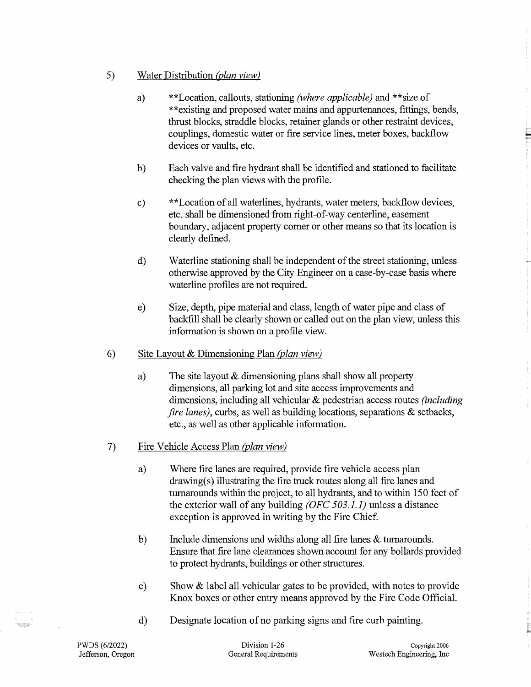#### 5) Water Distribution *(plan view)*

- a) \*\*Location, callouts, stationing *(where applicable)* and \*\*size of \*\*existing and proposed water mains and appurtenances, fittings, bends, thrust blocks, straddle blocks, retainer glands or other restraint devices, couplings, domestic water or fire service lines, meter boxes, backflow devices or vaults, etc.
- b) Each valve and fire hydrant shall be identified and stationed to facilitate checking the plan views with the profile.
- c) \*\*Location of all waterlines, hydrants, water meters, backflow devices, etc. shall be dimensioned from right-of-way centerline, easement boundary, adjacent property comer or other means so that its location is clearly defined.
- d) Waterline stationing shall be independent of the street stationing, unless otherwise approved by the City Engineer on a case-by-case basis where waterline profiles are not required.
- e) Size, depth, pipe material and class, length of water pipe and class of backfill shall be clearly shown or called out on the plan view, unless this information is shown on a profile view.
- 6) Site Layout & Dimensioning Plan *(plan view)* 
	- a) The site layout  $\&$  dimensioning plans shall show all property dimensions, all parking lot and site access improvements and dimensions, including all vehicular & pedestrian access routes *(including fire lanes*), curbs, as well as building locations, separations & setbacks, etc., as well as other applicable information.
- 7) Fire Vehicle Access Plan *(plan view)* 
	- a) Where fire lanes are required, provide fire vehicle access plan  $drawing(s)$  illustrating the fire truck routes along all fire lanes and turnarounds within the project, to all hydrants, and to within 150 feet of the exterior wall of any building *(OFC 503.1.1)* unless a distance exception is approved in writing by the Fire Chief.
	- b) Include dimensions and widths along all fire lanes & turnarounds. Ensure that fire lane clearances shown account for any bollards provided to protect hydrants, buildings or other structures.
	- c) Show & label all vehicular gates to be provided, with notes to provide Knox boxes or other entry means approved by the Fire Code Official.
	- d) Designate location of no parking signs and fire curb painting.

PWDS (6/2022) Jefferson, Oregon

Division 1-26 General Requirements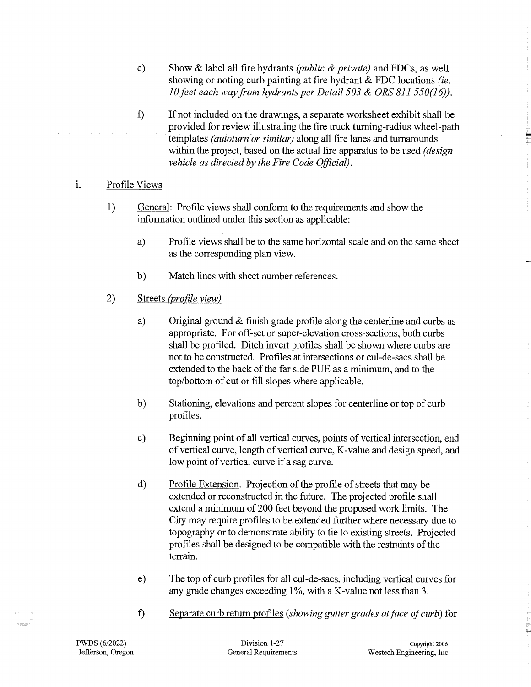- e) Show & label all fire hydrants *(public* & *private)* and FDCs, as well showing or noting curb painting at fire hydrant & FDC locations *(ie. JO feet each way from hydrants per Detail 503* & *ORS 811.550(16)).*
- f) If not included on the drawings, a separate worksheet exhibit shall be provided for review illustrating the fire truck turning-radius wheel-path templates *(autoiurn or similar)* along all fire lanes and turnarounds within the project, based on the actual fire apparatus to be used *(design vehicle as directed by the Fire Code Official).*

# 1. Profile Views

- 1) General: Profile views shall conform to the requirements and show the information outlined under this section as applicable:
	- a) Profile views shall be to the same horizontal scale and on the same sheet as the corresponding plan view.
	- b) Match lines with sheet number references.
- 2) Streets *(profile view)* 
	- a) Original ground & finish grade profile along the centerline and curbs as appropriate. For off-set or super-elevation cross-sections, both curbs shall be profiled. Ditch invert profiles shall be shown where curbs are not to be constructed. Profiles at intersections or cul-de-sacs shall be extended to the back of the far side PUE as a minimum, and to the top/bottom of cut or fill slopes where applicable.
	- b) Stationing, elevations and percent slopes for centerline or top of curb profiles.
	- c) Beginning point of all vertical curves, points of vertical intersection, end of vertical curve, length of vertical curve, K-value and design speed, and low point of vertical curve if a sag curve.
	- d) Profile Extension. Projection of the profile of streets that may be extended or reconstructed in the future. The projected profile shall extend a minimum of 200 feet beyond the proposed work limits. The City may require profiles to be extended further where necessary due to topography or to demonstrate ability to tie to existing streets. Projected profiles shall be designed to be compatible with the restraints of the terrain.
	- e) The top of curb profiles for all cul-de-sacs, including vertical curves for any grade changes exceeding 1%, with a K-value not less than 3.
	- f) Separate curb return profiles *(showing gutter grades at face of curb)* for

È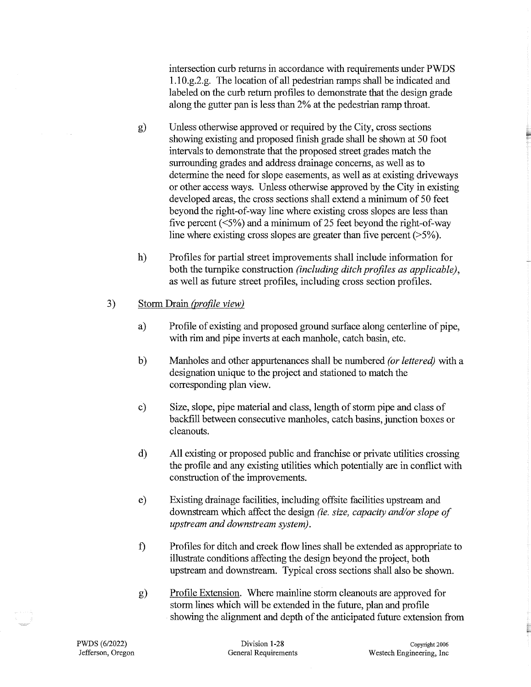intersection curb returns in accordance with requirements under PWDS 1.1 O.g.2.g. The location of all pedestrian ramps shall be indicated and labeled on the curb return profiles to demonstrate that the design grade along the gutter pan is less than 2% at the pedestrian ramp throat.

- g) Unless otherwise approved or required by the City, cross sections showing existing and proposed finish grade shall be shown at 50 foot intervals to demonstrate that the proposed street grades match the surrounding grades and address drainage concerns, as well as to determine the need for slope easements, as well as at existing driveways or other access ways. Unless otherwise approved by the City in existing developed areas, the cross sections shall extend a minimum of 50 feet beyond the right-of-way line where existing cross slopes are less than five percent  $(\leq 5\%)$  and a minimum of 25 feet beyond the right-of-way line where existing cross slopes are greater than five percent  $(>=5\%)$ .
- h) Profiles for partial street improvements shall include information for both the turnpike construction *(including ditch profiles as applicable),*  as well as future street profiles, including cross section profiles.
- 3) Storm Drain *(profile view)* 
	- a) Profile of existing and proposed ground surface along centerline of pipe, with rim and pipe inverts at each manhole, catch basin, etc.
	- b) Manholes and other appurtenances shall be numbered *(or lettered)* with a designation unique to the project and stationed to match the corresponding plan view.
	- c) Size, slope, pipe material and class, length of storm pipe and class of backfill between consecutive manholes, catch basins, junction boxes or cleanouts.
	- d) All existing or proposed public and franchise or private utilities crossing the profile and any existing utilities which potentially are in conflict with construction of the improvements.
	- e) Existing drainage facilities, including offsite facilities upstream and downstream which affect the design *(ie. size, capacity and/or slope of upstream and downstream system).*
	- f) Profiles for ditch and creek flow lines shall be extended as appropriate to illustrate conditions affecting the design beyond the project, both upstream and downstream. Typical cross sections shall also be shown.
	- g) Profile Extension. Where mainline storm cleanouts are approved for storm lines which will be extended in the future, plan and profile showing the alignment and depth of the anticipated future extension from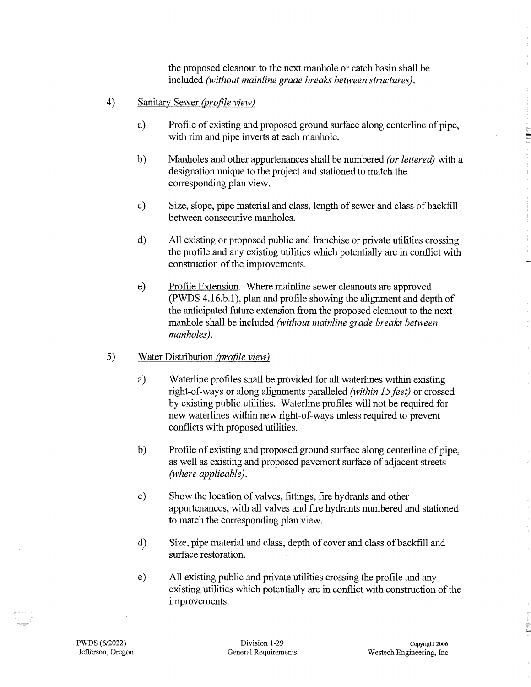the proposed cleanout to the next manhole or catch basin shall be included *(without mainline grade breaks between structures).* 

- 4) Sanitary Sewer *(profile view)* 
	- a) Profile of existing and proposed ground surface along centerline of pipe, with rim and pipe inverts at each manhole.
	- b) Manholes and other appurtenances shall be numbered *(or lettered)* with a designation unique to the project and stationed to match the corresponding plan view.
	- c) Size, slope, pipe material and class, length of sewer and class of backfill between consecutive manholes.
	- d) All existing or proposed public and franchise or private utilities crossing the profile and any existing utilities which potentially are in conflict with construction of the improvements.
	- e) Profile Extension. Where mainline sewer cleanouts are approved (PWDS 4.16.b.1), plan and profile showing the alignment and depth of the anticipated future extension from the proposed cleanout to the next manhole shall be included *(without mainline grade breaks between manholes).*

#### 5) Water Distribution *(profile view)*

- a) Waterline profiles shall be provided for all waterlines within existing right-of-ways or along alignments paralleled *(within 15 feet)* or crossed by existing public utilities. Waterline profiles will not be required for new waterlines within new right-of-ways unless required to prevent conflicts with proposed utilities.
- b) Profile of existing and proposed ground surface along centerline of pipe, as well as existing and proposed pavement surface of adjacent streets *(where applicable).*
- c) Show the location of valves, fittings, fire hydrants and other appurtenances, with all valves and fire hydrants numbered and stationed to match the corresponding plan view.
- d) Size, pipe material and class, depth of cover and class of backfill and surface restoration.
- e) All existing public and private utilities crossing the profile and any existing utilities which potentially are in conflict with construction of the improvements.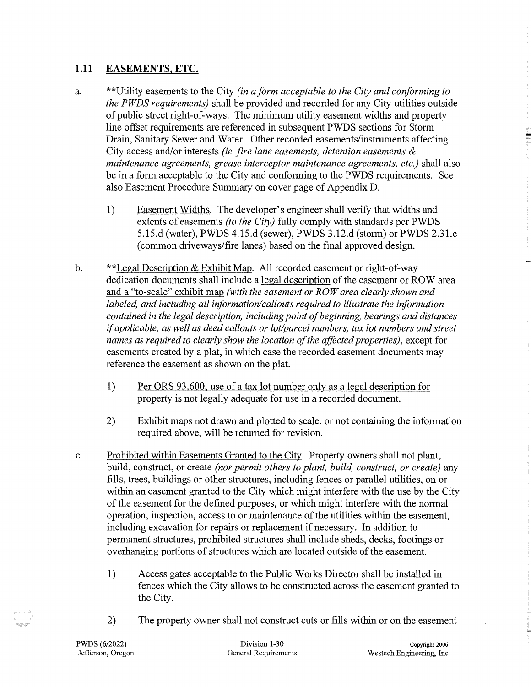#### **1.11 EASEMENTS, ETC.**

- a. \*\*Utility easements to the City *(in a form acceptable to the City and conforming to the PWDS requirements)* shall be provided and recorded for any City utilities outside of public street right-of-ways. The minimum utility easement widths and property line offset requirements are referenced in subsequent PWDS sections for Storm Drain, Sanitary Sewer and Water. Other recorded easements/instruments affecting City access and/or interests *(ie. fire lane easements, detention easements* & *maintenance agreements, grease interceptor maintenance agreements, etc.)* shall also be in a form acceptable to the City and conforming to the PWDS requirements. See also Easement Procedure Summary on cover page of Appendix D.
	- 1) Easement Widths. The developer's engineer shall verify that widths and extents of easements *(to the City)* fully comply with standards per PWDS 5.15.d (water), PWDS 4.15.d (sewer), PWDS 3.12.d (storm) or PWDS 2.31.c (common driveways/fire lanes) based on the final approved design.
- b. \*\*Legal Description & Exhibit Map. All recorded easement or right-of-way dedication documents shall include a legal description of the easement or ROW area and a "to-scale" exhibit map *(with the easement or ROW area clearly shown and labeled, and including all information/callouts required to illustrate the information contained in the legal description, including point of beginning, bearings and distances*  if *applicable, as well as deed callouts or lot/parcel numbers, tax lot numbers and street names as required to clearly show the location of the affected properties), except for* easements created by a plat, in which case the recorded easement documents may reference the easement as shown on the plat.
	- 1) Per ORS 93.600, use of a tax lot number only as a legal description for property is not legally adequate for use in a recorded document.
	- 2) Exhibit maps not drawn and plotted to scale, or not containing the information required above, will be returned for revision.
- c. Prohibited within Easements Granted to the City. Property owners shall not plant, build, construct, or create *(nor permit others to plant, build, construct, or create)* any fills, trees, buildings or other structures, including fences or parallel utilities, on or within an easement granted to the City which might interfere with the use by the City of the easement for the defined purposes, or which might interfere with the normal operation, inspection, access to or maintenance of the utilities within the easement, including excavation for repairs or replacement if necessary. In addition to permanent structures, prohibited structures shall include sheds, decks, footings or overhanging portions of structures which are located outside of the easement.
	- 1) Access gates acceptable to the Public Works Director shall be installed in fences which the City allows to be constructed across the easement granted to the City.
	- 2) The property owner shall not construct cuts or fills within or on the easement

PWDS (6/2022) Jefferson, Oregon

Division 1-30 General Requirements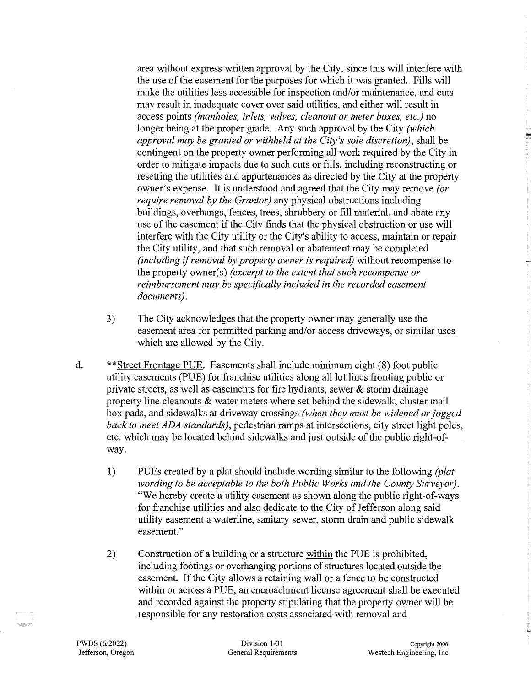area without express written approval by the City, since this will interfere with the use of the easement for the purposes for which it was granted. Fills will make the utilities less accessible for inspection and/or maintenance, and cuts may result in inadequate cover over said utilities, and either will result in access points *(manholes, inlets, valves, cleanout or meter boxes, etc.)* no longer being at the proper grade. Any such approval by the City *(which approval may be granted or withheld at the City's sole discretion),* shall be contingent on the property owner performing all work required by the City in order to mitigate impacts due to such cuts or fills, including reconstructing or resetting the utilities and appurtenances as directed by the City at the property owner's expense. It is understood and agreed that the City may remove *(or require removal by the Grantor)* any physical obstructions including buildings, overhangs, fences, trees, shrubbery or fill material, and abate any use of the easement if the City finds that the physical obstruction or use will interfere with the City utility or the City's ability to access, maintain or repair the City utility, and that such removal or abatement may be completed *(including* if *removal by property owner is required)* without recompense to the property owner(s) *(excerpt to the extent that such recompense or reimbursement may be specifically included in the recorded easement documents).* 

- 3) The City acknowledges that the property owner may generally use the easement area for permitted parking and/or access driveways, or similar uses which are allowed by the City.
- d. \*\*Street Frontage PUE. Easements shall include minimum eight (8) foot public utility easements (PUE) for franchise utilities along all lot lines fronting public or private streets, as well as easements for fire hydrants, sewer  $\&$  storm drainage property line cleanouts & water meters where set behind the sidewalk, cluster mail box pads, and sidewalks at driveway crossings *(when they must be widened or jogged back to meet ADA standards),* pedestrian ramps at intersections, city street light poles, etc. which may be located behind sidewalks and just outside of the public right-ofway.
	- 1) PUEs created by a plat should include wording similar to the following *(plat wording to be acceptable to the both Public Works and the County Surveyor).*  "We hereby create a utility easement as shown along the public right-of-ways for franchise utilities and also dedicate to the City of Jefferson along said utility easement a waterline, sanitary sewer, storm drain and public sidewalk easement."
	- 2) Construction of a building or a structure within the PUE is prohibited, including footings or overhanging portions of structures located outside the easement. If the City allows a retaining wall or a fence to be constructed within or across a PUE, an encroachment license agreement shall be executed and recorded against the property stipulating that the property owner will be responsible for any restoration costs associated with removal and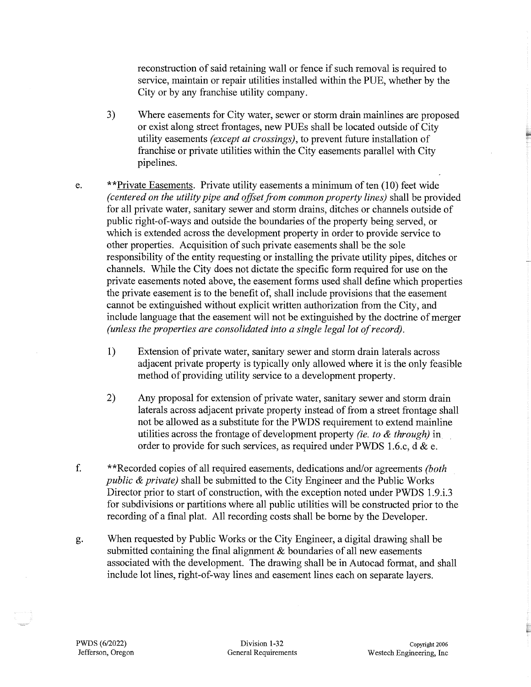reconstruction of said retaining wall or fence if such removal is required to service, maintain or repair utilities installed within the PUE, whether by the City or by any franchise utility company.

- 3) Where easements for City water, sewer or storm drain mainlines are proposed or exist along street frontages, new PUEs shall be located outside of City utility easements *(except at crossings),* to prevent future installation of franchise or private utilities within the City easements parallel with City pipelines.
- e. \*\*Private Easements. Private utility easements a minimum of ten (10) feet wide *(centered on the utility pipe and offset from common property lines)* shall be provided for all private water, sanitary sewer and storm drains, ditches or channels outside of public right-of-ways and outside the boundaries of the property being served, or which is extended across the development property in order to provide service to other properties. Acquisition of such private easements shall be the sole responsibility of the entity requesting or installing the private utility pipes, ditches or channels. While the City does not dictate the specific form required for use on the private easements noted above, the easement forms used shall define which properties the private easement is to the benefit of, shall include provisions that the easement cannot be extinguished without explicit written authorization from the City, and include language that the easement will not be extinguished by the doctrine of merger *(unless the properties are consolidated into a single legal lot of record).* 
	- 1) Extension of private water, sanitary sewer and storm drain laterals across adjacent private property is typically only allowed where it is the only feasible method of providing utility service to a development property.
	- 2) Any proposal for extension of private water, sanitary sewer and storm drain laterals across adjacent private property instead of from a street frontage shall not be allowed as a substitute for the PWDS requirement to extend mainline utilities across the frontage of development property *(ie. to* & *through)* in order to provide for such services, as required under PWDS 1.6.c,  $d \& e$ .
- f. \*\*Recorded copies of all required easements, dedications and/or agreements *(both public* & *private)* shall be submitted to the City Engineer and the Public Works Director prior to start of construction, with the exception noted under PWDS 1.9.1.3 for subdivisions or partitions where all public utilities will be constructed prior to the recording of a final plat. All recording costs shall be borne by the Developer.
- g. When requested by Public Works or the City Engineer, a digital drawing shall be submitted containing the final alignment  $\&$  boundaries of all new easements associated with the development. The drawing shall be in Autocad format, and shall include lot lines, right-of-way lines and easement lines each on separate layers.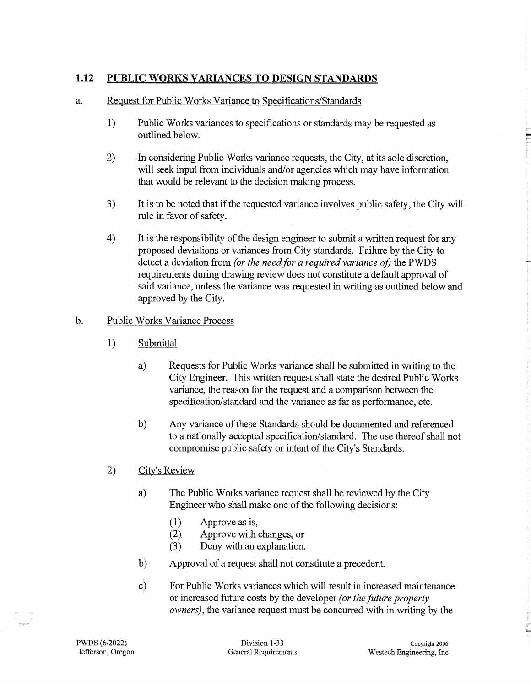# **1.12 PUBLIC WORKS VARIANCES TO DESIGN STANDARDS**

#### a. Request for Public Works Variance to Specifications/Standards

- 1) Public Works variances to specifications or standards may be requested as outlined below.
- 2) In considering Public Works variance requests, the City, at its sole discretion, will seek input from individuals and/or agencies which may have information that would be relevant to the decision making process.
- 3) It is to be noted that if the requested variance involves public safety, the City will rule in favor of safety.
- 4) It is the responsibility of the design engineer to submit a written request for any proposed deviations or variances from City standards. Failure by the City to detect a deviation from *(or the need for a required variance of)* the PWDS requirements during drawing review does not constitute a default approval of said variance, unless the variance was requested in writing as outlined below and approved by the City.

#### b. Public Works Variance Process

- 1) Submittal
	- a) Requests for Public Works variance shall be submitted in writing to the City Engineer. This written request shall state the desired Public Works variance, the reason for the request and a comparison between the specification/standard and the variance as far as performance, etc.
	- b) Any variance of these Standards should be documented and referenced to a nationally accepted specification/standard. The use thereof shall not compromise public safety or intent of the City's Standards.

# 2) City's Review

- a) The Public Works variance request shall be reviewed by the City Engineer who shall make one of the following decisions:
	- **(1)** Approve as is,
	- (2) Approve with changes, or
	- (3) Deny with an explanation.
- b) Approval of a request shall not constitute a precedent.
- c) For Public Works variances which will result in increased maintenance or increased future costs by the developer *(or the future property owners),* the variance request must be concurred with in writing by the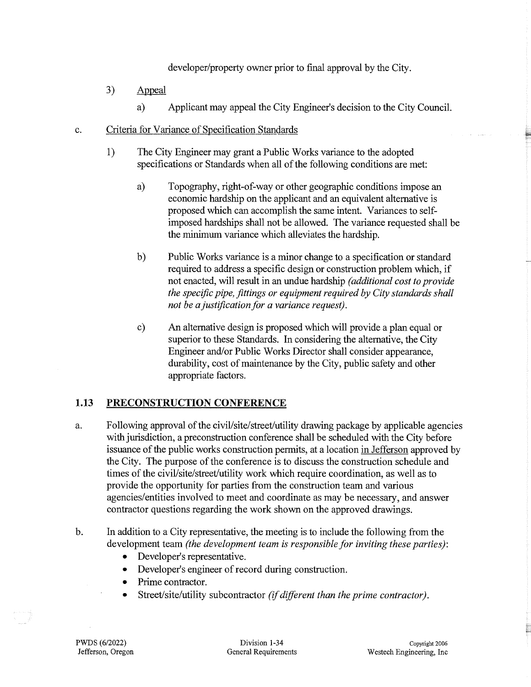developer/property owner prior to final approval by the City.

- 3) Appeal
	- a) Applicant may appeal the City Engineer's decision to the City Council.
- c. Criteria for Variance of Specification Standards
	- 1) The City Engineer may grant a Public Works variance to the adopted specifications or Standards when all of the following conditions are met:
		- a) Topography, right-of-way or other geographic conditions impose an economic hardship on the applicant and an equivalent alternative is proposed which can accomplish the same intent. Variances to selfimposed hardships shall not be allowed. The variance requested shall be the minimum variance which alleviates the hardship.
		- b) Public Works variance is a minor change to a specification or standard required to address a specific design or construction problem which, if not enacted, will result in an undue hardship *(additional cost to provide the specific pipe, fittings or equipment required by City standards shall not be a justification for a variance request).*
		- c) An alternative design is proposed which will provide a plan equal or superior to these Standards. In considering the alternative, the City Engineer and/or Public Works Director shall consider appearance, durability, cost of maintenance by the City, public safety and other appropriate factors.

# **1.13 PRECONSTRUCTION CONFERENCE**

- a. Following approval of the civil/site/street/utility drawing package by applicable agencies with jurisdiction, a preconstruction conference shall be scheduled with the City before issuance of the public works construction permits, at a location in Jefferson approved by the City. The purpose of the conference is to discuss the construction schedule and times of the civil/site/street/utility work which require coordination, as well as to provide the opportunity for parties from the construction team and various agencies/entities involved to meet and coordinate as may be necessary, and answer contractor questions regarding the work shown on the approved drawings.
- b. In addition to a City representative, the meeting is to include the following from the development team *(the development team is responsible for inviting these parties):* 
	- Developer's representative.
	- Developer's engineer of record during construction.
	- Prime contractor.
	- Street/site/utility subcontractor *(if different than the prime contractor).*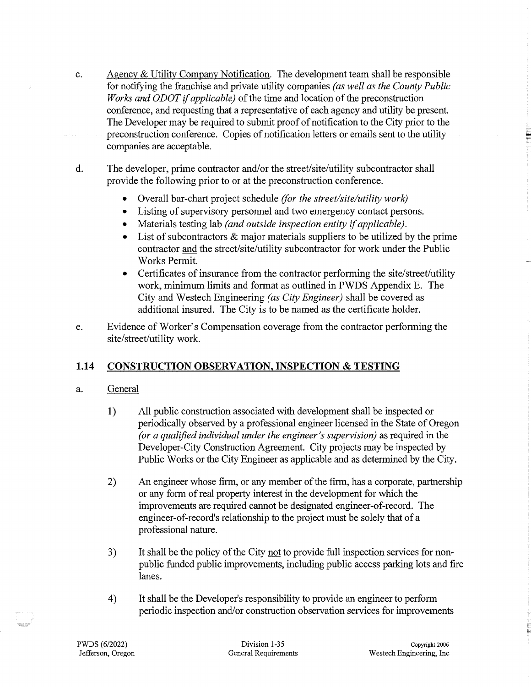c. Agency & Utility Company Notification. The development team shall be responsible for notifying the franchise and private utility companies *(as well as the County Public Works and ODOT* if *applicable)* of the time and location of the preconstruction conference, and requesting that a representative of each agency and utility be present. The Developer may be required to submit proof of notification to the City prior to the preconstruction conference. Copies of notification letters or emails sent to the utility companies are acceptable.

d. The developer, prime contractor and/or the street/site/utility subcontractor shall provide the following prior to or at the preconstruction conference.

- Overall bar-chart project schedule *(for the street/site/utility work)*
- Listing of supervisory personnel and two emergency contact persons.
- Materials testing lab *(and outside inspection entity* if *applicable).*
- List of subcontractors  $\&$  major materials suppliers to be utilized by the prime contractor and the street/site/utility subcontractor for work under the Public Works Permit.
- Certificates of insurance from the contractor performing the site/street/utility work, minimum limits and format as outlined in PWDS Appendix E. The City and Westech Engineering *(as City Engineer)* shall be covered as additional insured. The City is to be named as the certificate holder.
- e. Evidence of Worker's Compensation coverage from the contractor performing the site/street/utility work.

# **1.14 CONSTRUCTION OBSERVATION, INSPECTION & TESTING**

- a. General
	- **1)** All public construction associated with development shall be inspected or periodically observed by a professional engineer licensed in the State of Oregon *(or a qualified individual under the engineer's supervision)* as required in the Developer-City Construction Agreement. City projects may be inspected by Public Works or the City Engineer as applicable and as determined by the City.
	- 2) An engineer whose firm, or any member of the firm, has a corporate, partnership or any form of real property interest in the development for which the improvements are required cannot be designated engineer-of-record. The engineer-of-record's relationship to the project must be solely that of a professional nature.
	- 3) It shall be the policy of the City not to provide full inspection services for nonpublic funded public improvements, including public access parking lots and fire lanes.
	- 4) It shall be the Developer's responsibility to provide an engineer to perform periodic inspection and/or construction observation services for improvements

PWDS (6/2022) Jefferson, Oregon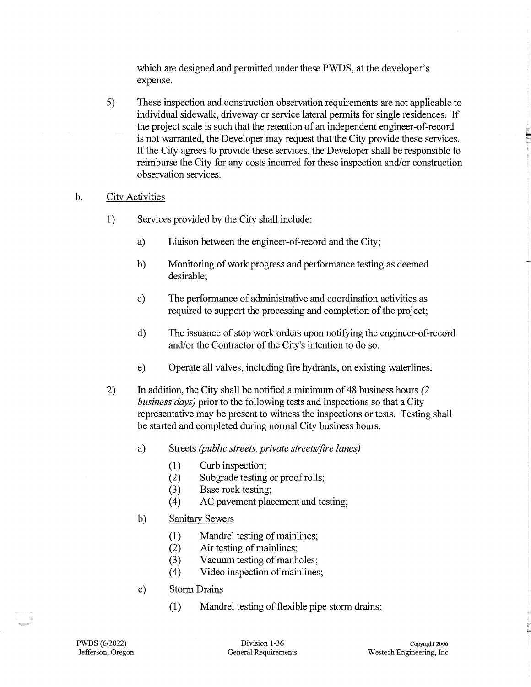which are designed and permitted under these PWDS, at the developer's expense.

5) These inspection and construction observation requirements are not applicable to individual sidewalk, driveway or service lateral permits for single residences. If the project scale is such that the retention of an independent engineer-of-record is not warranted, the Developer may request that the City provide these services. If the City agrees to provide these services, the Developer shall be responsible to reimburse the City for any costs incurred for these inspection and/or construction observation services.

#### b. City Activities

- 1) Services provided by the City shall include:
	- a) Liaison between the engineer-of-record and the City;
	- b) Monitoring of work progress and performance testing as deemed desirable;
	- c) The performance of administrative and coordination activities as required to support the processing and completion of the project;
	- d) The issuance of stop work orders upon notifying the engineer-of-record and/or the Contractor of the City's intention to do so.
	- e) Operate all valves, including fire hydrants, on existing waterlines.
- 2) In addition, the City shall be notified a minimum of 48 business hours *(2 business days)* prior to the following tests and inspections so that a City representative may be present to witness the inspections or tests. Testing shall be started and completed during normal City business hours.
	- a) Streets *(public streets, private streets/fire lanes)* 
		- (1) Curb inspection;
		- (2) Subgrade testing or proof rolls;
		- (3) Base rock testing;
		- (4) AC pavement placement and testing;
	- b) Sanitary Sewers
		- (1) Mandrel testing of mainlines;
		- (2) Air testing of mainlines;
		- (3) Vacuum testing of manholes;
		- ( 4) Video inspection of mainlines;
	- c) Storm Drains
		- (1) Mandrel testing of flexible pipe storm drains;

PWDS (6/2022) Jefferson, Oregon Ě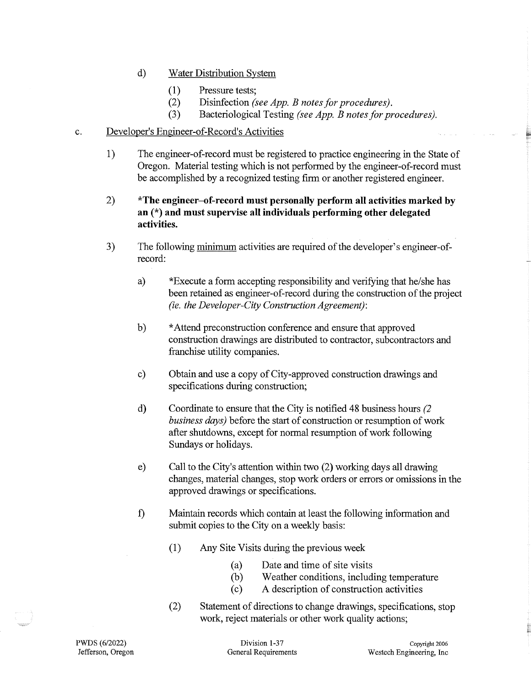#### d) Water Distribution System

- (1) Pressure tests;
- (2) Disinfection *(see App. B notes for procedures).*
- (3) Bacteriological Testing *(see App. B notes for procedures).*

#### c. Developer's Engineer-of-Record's Activities

- 1) The engineer-of-record must be registered to practice engineering in the State of Oregon. Material testing which is not performed by the engineer-of-record must be accomplished by a recognized testing firm or another registered engineer.
- 2) **\*The engineer-of-record must personally perform all activities marked by an** (\*) **and must supervise all individuals performing other delegated activities.**
- 3) The following minimum activities are required of the developer's engineer-ofrecord:
	- a) \*Execute a form accepting responsibility and verifying that he/she has been retained as engineer-of-record during the construction of the project *(ie. the Developer-City Construction Agreement):*
	- b) \*Attend preconstruction conference and ensure that approved construction drawings are distributed to contractor, subcontractors and franchise utility companies.
	- c) Obtain and use a copy of City-approved construction drawings and specifications during construction;
	- d) Coordinate to ensure that the City is notified 48 business hours *(2 business days)* before the start of construction or resumption of work after shutdowns, except for normal resumption of work following Sundays or holidays.
	- e) Call to the City's attention within two (2) working days all drawing changes, material changes, stop work orders or errors or omissions in the approved drawings or specifications.
	- f) Maintain records which contain at least the following information and submit copies to the City on a weekly basis:
		- (1) Any Site Visits during the previous week
			- (a) Date and time of site visits
			- (b) Weather conditions, including temperature
			- ( c) A description of construction activities
		- (2) Statement of directions to change drawings, specifications, stop work, reject materials or other work quality actions;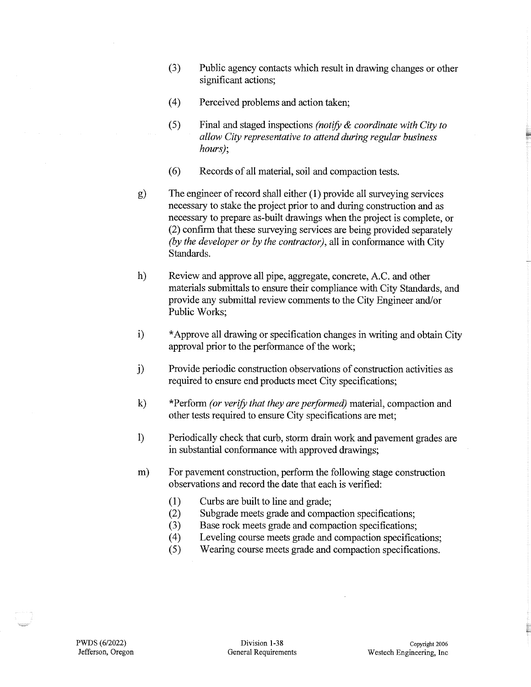- (3) Public agency contacts which result in drawing changes or other significant actions;
- (4) Perceived problems and action taken;
- (5) Final and staged inspections *(notify* & *coordinate with City to allow City representative to attend during regular business hours);*
- ( 6) Records of all material, soil and compaction tests.
- g) The engineer of record shall either (1) provide all surveying services necessary to stake the project prior to and during construction and as necessary to prepare as-built drawings when the project is complete, or (2) confirm that these surveying services are being provided separately *(by the developer or by the contractor),* all in conformance with City Standards.
- h) Review and approve all pipe, aggregate, concrete, AC. and other materials submittals to ensure their compliance with City Standards, and provide any submittal review comments to the City Engineer and/or Public Works;
- i) \*Approve all drawing or specification changes in writing and obtain City approval prior to the performance of the work;
- j) Provide periodic construction observations of construction activities as required to ensure end products meet City specifications;
- k) \*Perform *(or verify that they are performed)* material, compaction and other tests required to ensure City specifications are met;
- 1) Periodically check that curb, storm drain work and pavement grades are in substantial conformance with approved drawings;
- m) For pavement construction, perform the following stage construction observations and record the date that each is verified:
	- (1) Curbs are built to line and grade;
	- (2) Subgrade meets grade and compaction specifications;
	- (3) Base rock meets grade and compaction specifications;
	- ( 4) Leveling course meets grade and compaction specifications;
	- (5) Wearing course meets grade and compaction specifications.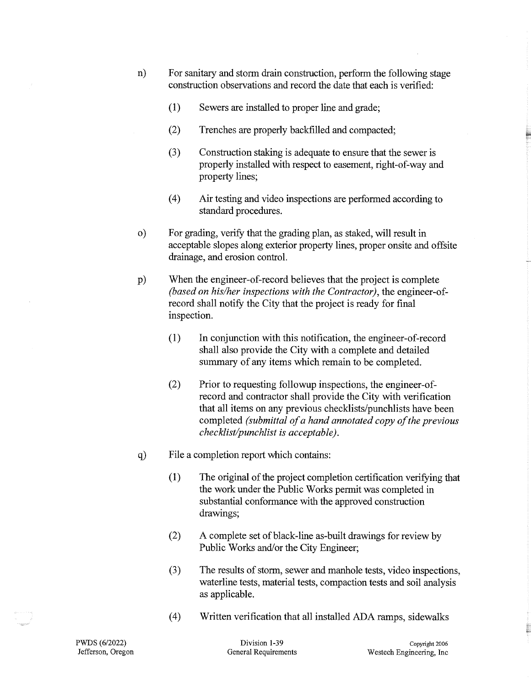- n) For sanitary and storm drain construction, perform the following stage construction observations and record the date that each is verified:
	- (1) Sewers are installed to proper line and grade;
	- (2) Trenches are properly backfilled and compacted;
	- (3) Construction staking is adequate to ensure that the sewer is properly installed with respect to easement, right-of-way and property lines;
	- ( 4) Air testing and video inspections are performed according to standard procedures.
- o) For grading, verify that the grading plan, as staked, will result in acceptable slopes along exterior property lines, proper onsite and offsite drainage, and erosion control.
- p) When the engineer-of-record believes that the project is complete *(based on his/her inspections with the Contractor),* the engineer-ofrecord shall notify the City that the project is ready for final inspection.
	- (1) In conjunction with this notification, the engineer-of-record shall also provide the City with a complete and detailed summary of any items which remain to be completed.
	- (2) Prior to requesting followup inspections, the engineer-ofrecord and contractor shall provide the City with verification that all items on any previous checklists/punchlists have been completed *(submittal of a hand annotated copy of the previous checklist/punchlist is acceptable).*
- q) File a completion report which contains:
	- (1) The original of the project completion certification verifying that the work under the Public Works permit was completed in substantial conformance with the approved construction drawings;
	- (2) A complete set of black-line as-built drawings for review by Public Works and/or the City Engineer;
	- (3) The results of storm, sewer and manhole tests, video inspections, waterline tests, material tests, compaction tests and soil analysis as applicable.
	- ( 4) Written verification that all installed ADA ramps, sidewalks

PWDS (6/2022) Jefferson, Oregon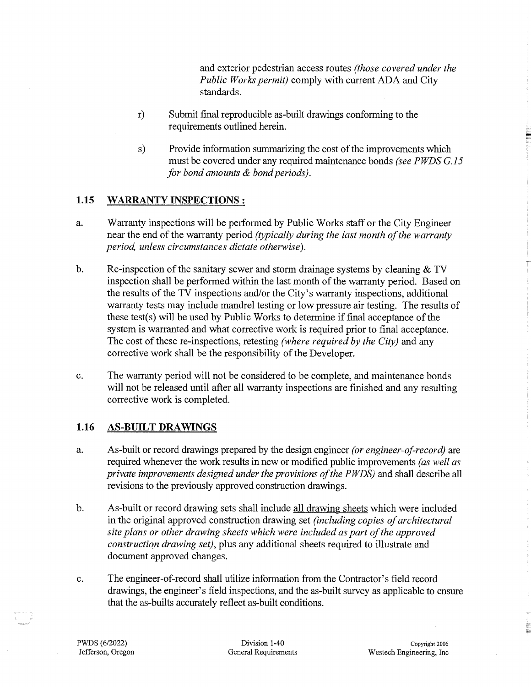and exterior pedestrian access routes *(those covered under the Public Works permit)* comply with current ADA and City standards.

- r) Submit final reproducible as-built drawings conforming to the requirements outlined herein.
- s) Provide information summarizing the cost of the improvements which must be covered under any required maintenance bonds *(see PWDS G.15 for bond amounts* & *bond periods).*

# **1.15 WARRANTY INSPECTIONS** :

- a. Warranty inspections will be performed by Public Works staff or the City Engineer near the end of the warranty period *(typically during the last month of the warranty period, unless circumstances dictate otherwise).*
- b. Re-inspection of the sanitary sewer and storm drainage systems by cleaning  $& TV$ inspection shall be performed within the last month of the warranty period. Based on the results of the TV inspections and/or the City's warranty inspections, additional warranty tests may include mandrel testing or low pressure air testing. The results of these test(s) will be used by Public Works to determine if final acceptance of the system is warranted and what corrective work is required prior to final acceptance. The cost of these re-inspections, retesting *(where required by the City)* and any corrective work shall be the responsibility of the Developer.
- c. The warranty period will not be considered to be complete, and maintenance bonds will not be released until after all warranty inspections are finished and any resulting corrective work is completed.

# **1.16 AS-BUILT DRAWINGS**

- a. As-built or record drawings prepared by the design engineer *(or engineer-of-record)* are required whenever the work results in new or modified public improvements *(as well as private improvements designed under the provisions of the PWDS)* and shall describe all revisions to the previously approved construction drawings.
- b. As-built or record drawing sets shall include all drawing sheets which were included in the original approved construction drawing set *(including copies of architectural site plans or other drawing sheets which were included as part of the approved construction drawing set),* plus any additional sheets required to illustrate and document approved changes.
- c. The engineer-of-record shall utilize information from the Contractor's field record drawings, the engineer's field inspections, and the as-built survey as applicable to ensure that the as-builts accurately reflect as-built conditions.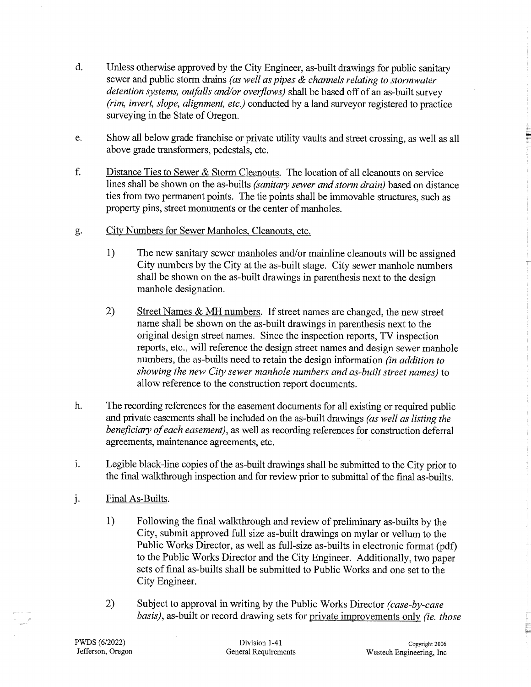- d. Unless otherwise approved by the City Engineer, as-built drawings for public sanitary sewer and public storm drains *(as well as pipes* & *channels relating to stormwater detention systems, outfalls and/or overflows)* shall be based off of an as-built survey *(rim, invert, slope, alignment, etc.)* conducted by a land surveyor registered to practice surveying in the State of Oregon.
- e. Show all below grade franchise or private utility vaults and street crossing, as well as all above grade transformers, pedestals, etc.
- f. Distance Ties to Sewer & Storm Cleanouts. The location of all cleanouts on service lines shall be shown on the as-builts *(sanitary sewer and storm drain)* based on distance ties from two permanent points. The tie points shall be immovable structures, such as property pins, street monuments or the center of manholes.
- g. City Numbers for Sewer Manholes, Cleanouts, etc.
	- 1) The new sanitary sewer manholes and/or mainline cleanouts will be assigned City numbers by the City at the as-built stage. City sewer manhole numbers shall be shown on the as-built drawings in parenthesis next to the design manhole designation.
	- 2) Street Names & MH numbers. If street names are changed, the new street name shall be shown on the as-built drawings in parenthesis next to the original design street names. Since the inspection reports, TV inspection reports, etc., will reference the design street names and design sewer manhole numbers, the as-builts need to retain the design information *(in addition to showing the new City sewer manhole numbers and as-built street names)* to allow reference to the construction report documents.
- h. The recording references for the easement documents for all existing or required public and private easements shall be included on the as-built drawings *(as well as listing the beneficiary of each easement),* as well as recording references for construction deferral agreements, maintenance agreements, etc.
- 1. Legible black-line copies of the as-built drawings shall be submitted to the City prior to the final walkthrough inspection and for review prior to submittal of the final as-builts.
- j. Final As-Builts.
	- 1) Following the final walkthrough and review of preliminary as-builts by the City, submit approved full size as-built drawings on mylar or vellum to the Public Works Director, as well as full-size as-builts in electronic format (pdf) to the Public Works Director and the City Engineer. Additionally, two paper sets of final as-builts shall be submitted to Public Works and one set to the City Engineer.
	- 2) Subject to approval in writing by the Public Works Director *(case-by-case basis),* as-built or record drawing sets for private improvements only *(ie. those*

PWDS (6/2022) Jefferson, Oregon